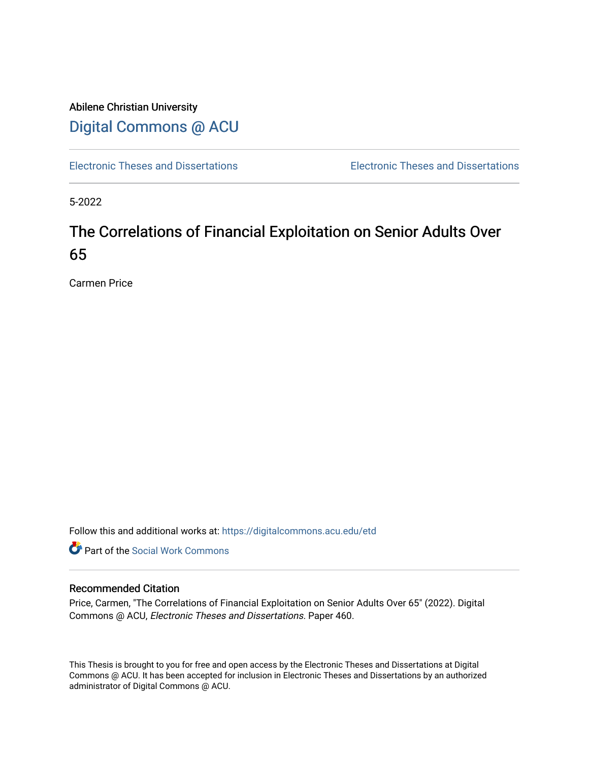# Abilene Christian University [Digital Commons @ ACU](https://digitalcommons.acu.edu/)

[Electronic Theses and Dissertations](https://digitalcommons.acu.edu/etd) [Electronic Theses and Dissertations](https://digitalcommons.acu.edu/graduate_works) 

5-2022

# The Correlations of Financial Exploitation on Senior Adults Over 65

Carmen Price

Follow this and additional works at: [https://digitalcommons.acu.edu/etd](https://digitalcommons.acu.edu/etd?utm_source=digitalcommons.acu.edu%2Fetd%2F460&utm_medium=PDF&utm_campaign=PDFCoverPages) 

**C** Part of the [Social Work Commons](http://network.bepress.com/hgg/discipline/713?utm_source=digitalcommons.acu.edu%2Fetd%2F460&utm_medium=PDF&utm_campaign=PDFCoverPages)

#### Recommended Citation

Price, Carmen, "The Correlations of Financial Exploitation on Senior Adults Over 65" (2022). Digital Commons @ ACU, Electronic Theses and Dissertations. Paper 460.

This Thesis is brought to you for free and open access by the Electronic Theses and Dissertations at Digital Commons @ ACU. It has been accepted for inclusion in Electronic Theses and Dissertations by an authorized administrator of Digital Commons @ ACU.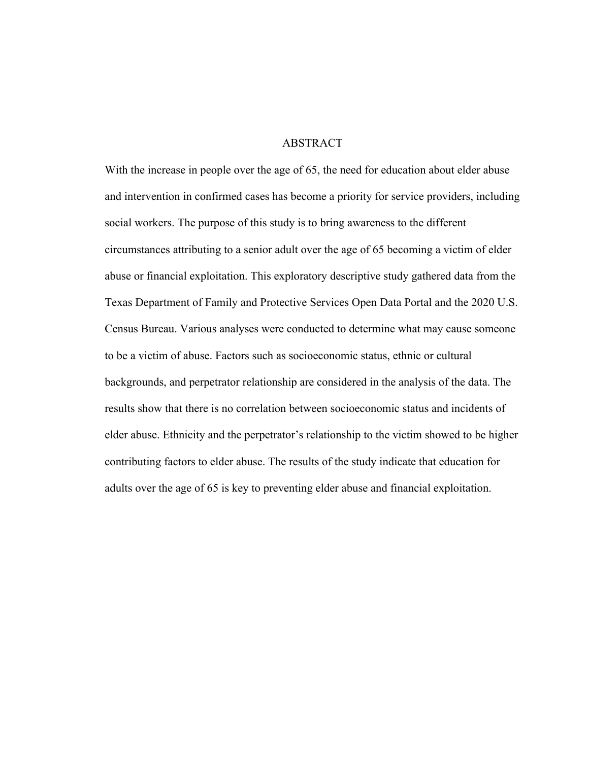# ABSTRACT

With the increase in people over the age of 65, the need for education about elder abuse and intervention in confirmed cases has become a priority for service providers, including social workers. The purpose of this study is to bring awareness to the different circumstances attributing to a senior adult over the age of 65 becoming a victim of elder abuse or financial exploitation. This exploratory descriptive study gathered data from the Texas Department of Family and Protective Services Open Data Portal and the 2020 U.S. Census Bureau. Various analyses were conducted to determine what may cause someone to be a victim of abuse. Factors such as socioeconomic status, ethnic or cultural backgrounds, and perpetrator relationship are considered in the analysis of the data. The results show that there is no correlation between socioeconomic status and incidents of elder abuse. Ethnicity and the perpetrator's relationship to the victim showed to be higher contributing factors to elder abuse. The results of the study indicate that education for adults over the age of 65 is key to preventing elder abuse and financial exploitation.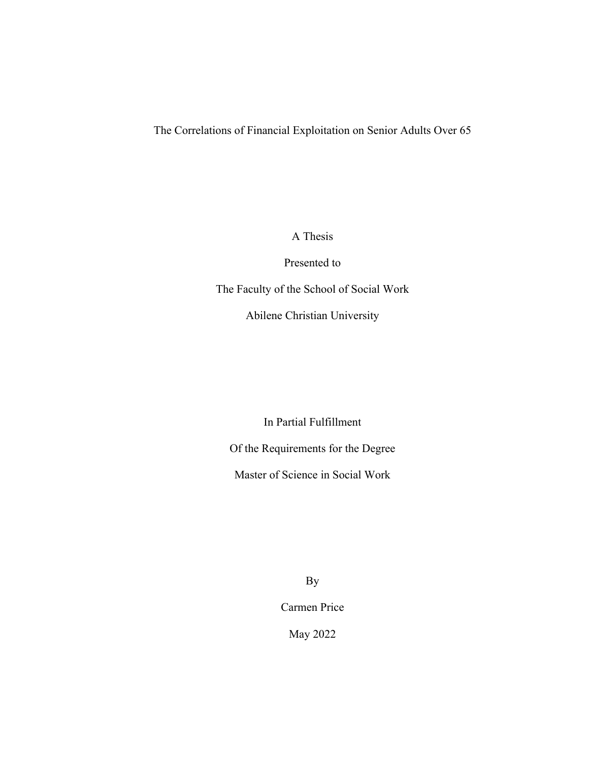The Correlations of Financial Exploitation on Senior Adults Over 65

A Thesis

Presented to

The Faculty of the School of Social Work

Abilene Christian University

In Partial Fulfillment

Of the Requirements for the Degree

Master of Science in Social Work

By

Carmen Price

May 2022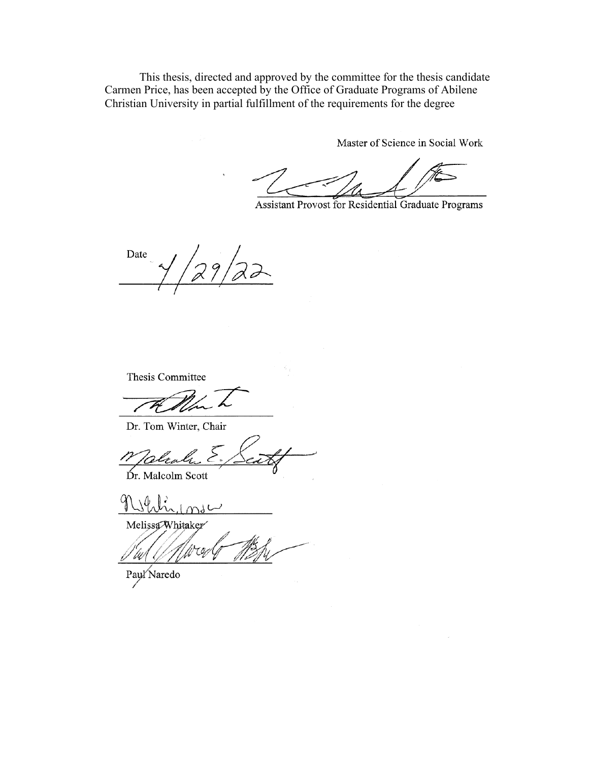This thesis, directed and approved by the committee for the thesis candidate Carmen Price, has been accepted by the Office of Graduate Programs of Abilene Christian University in partial fulfillment of the requirements for the degree

Master of Science in Social Work

Assistant Provost for Residential Graduate Programs

Date

Thesis Committee

Dr. Tom Winter, Chair

Dr. Malcolm Scott

 $141$ ىسا

Melissa Whitaker

τģ

Payl'Naredo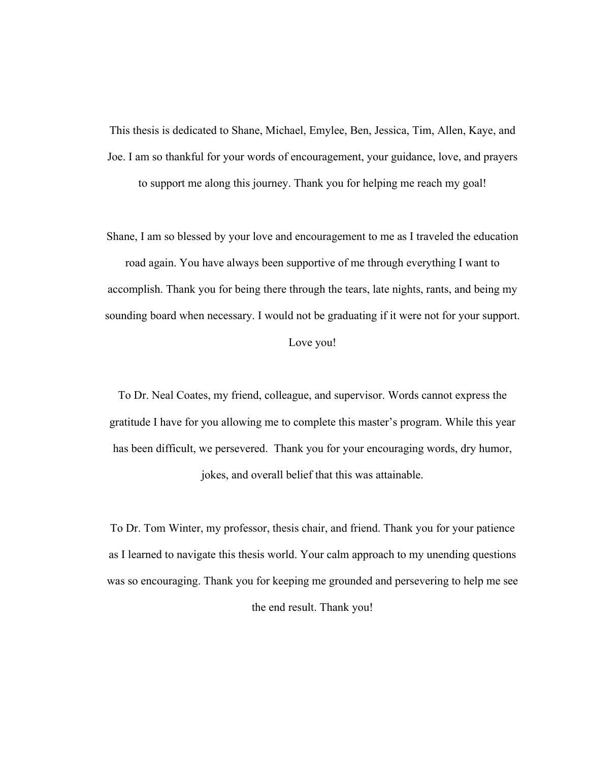This thesis is dedicated to Shane, Michael, Emylee, Ben, Jessica, Tim, Allen, Kaye, and Joe. I am so thankful for your words of encouragement, your guidance, love, and prayers to support me along this journey. Thank you for helping me reach my goal!

Shane, I am so blessed by your love and encouragement to me as I traveled the education road again. You have always been supportive of me through everything I want to accomplish. Thank you for being there through the tears, late nights, rants, and being my sounding board when necessary. I would not be graduating if it were not for your support.

Love you!

To Dr. Neal Coates, my friend, colleague, and supervisor. Words cannot express the gratitude I have for you allowing me to complete this master's program. While this year has been difficult, we persevered. Thank you for your encouraging words, dry humor, jokes, and overall belief that this was attainable.

To Dr. Tom Winter, my professor, thesis chair, and friend. Thank you for your patience as I learned to navigate this thesis world. Your calm approach to my unending questions was so encouraging. Thank you for keeping me grounded and persevering to help me see the end result. Thank you!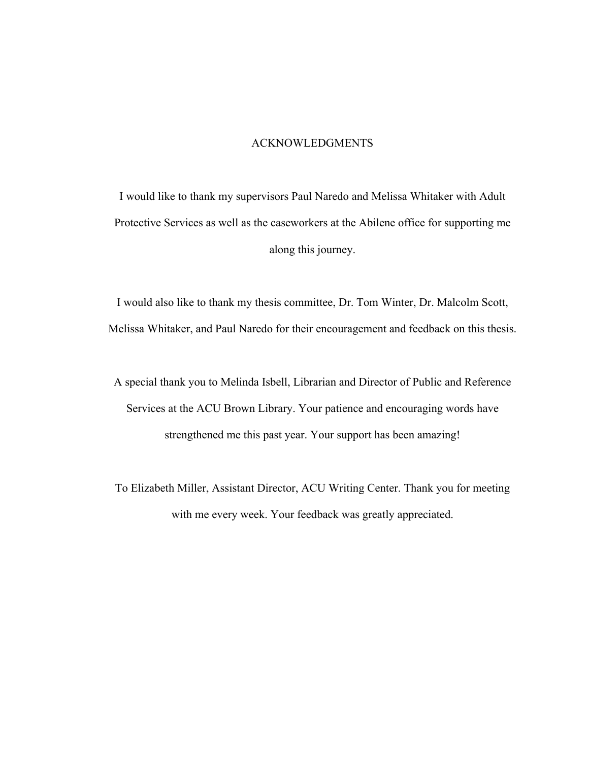# ACKNOWLEDGMENTS

I would like to thank my supervisors Paul Naredo and Melissa Whitaker with Adult Protective Services as well as the caseworkers at the Abilene office for supporting me along this journey.

I would also like to thank my thesis committee, Dr. Tom Winter, Dr. Malcolm Scott, Melissa Whitaker, and Paul Naredo for their encouragement and feedback on this thesis.

A special thank you to Melinda Isbell, Librarian and Director of Public and Reference Services at the ACU Brown Library. Your patience and encouraging words have strengthened me this past year. Your support has been amazing!

To Elizabeth Miller, Assistant Director, ACU Writing Center. Thank you for meeting with me every week. Your feedback was greatly appreciated.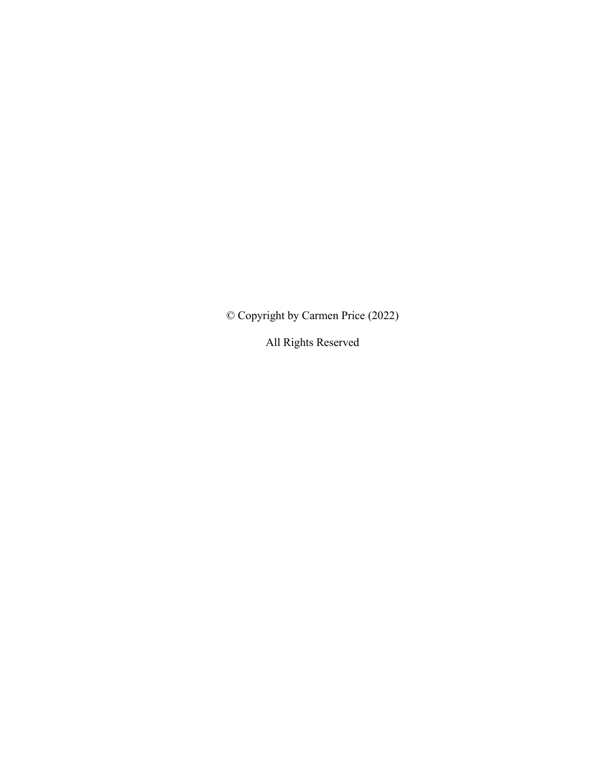© Copyright by Carmen Price (2022)

All Rights Reserved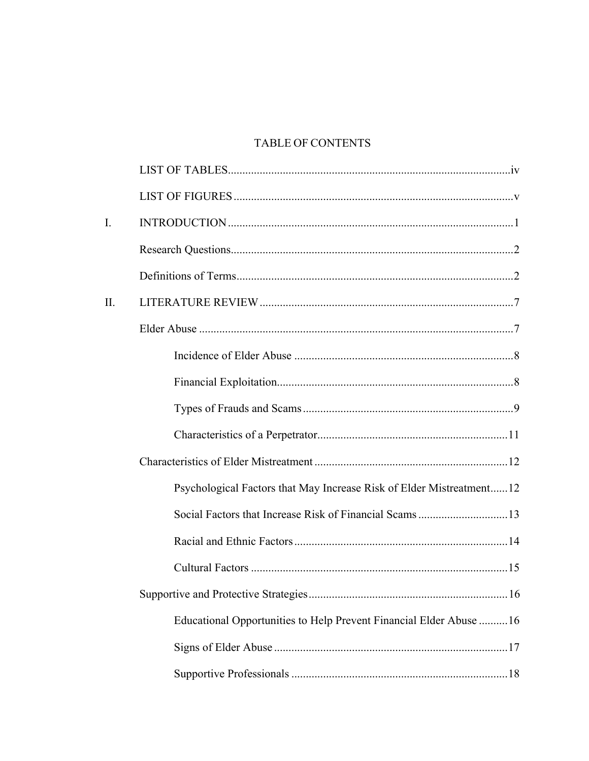# **TABLE OF CONTENTS**

| $\mathbf{I}$ . |                                                                      |
|----------------|----------------------------------------------------------------------|
|                |                                                                      |
|                |                                                                      |
| II.            |                                                                      |
|                |                                                                      |
|                |                                                                      |
|                |                                                                      |
|                |                                                                      |
|                |                                                                      |
|                |                                                                      |
|                | Psychological Factors that May Increase Risk of Elder Mistreatment12 |
|                |                                                                      |
|                |                                                                      |
|                |                                                                      |
|                |                                                                      |
|                | Educational Opportunities to Help Prevent Financial Elder Abuse  16  |
|                |                                                                      |
|                |                                                                      |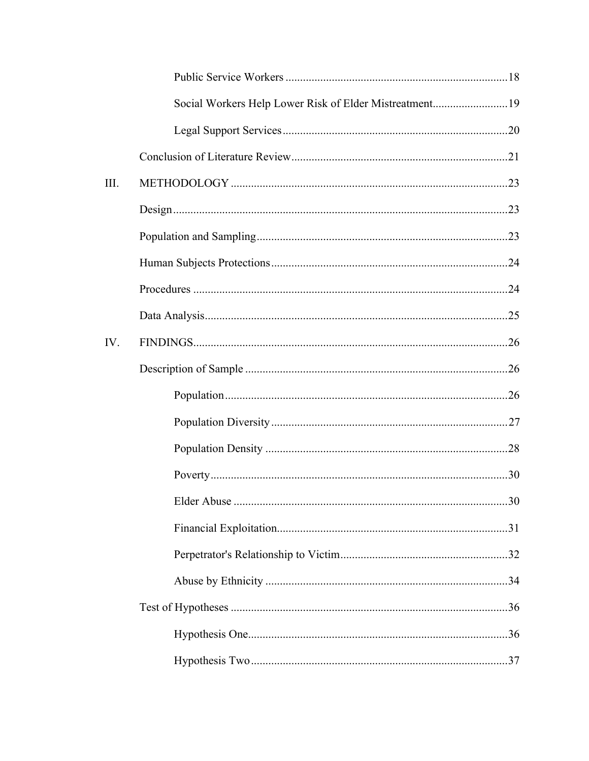|      | Social Workers Help Lower Risk of Elder Mistreatment19 |  |
|------|--------------------------------------------------------|--|
|      |                                                        |  |
|      |                                                        |  |
| III. |                                                        |  |
|      |                                                        |  |
|      |                                                        |  |
|      |                                                        |  |
|      |                                                        |  |
|      |                                                        |  |
| IV.  |                                                        |  |
|      |                                                        |  |
|      |                                                        |  |
|      |                                                        |  |
|      |                                                        |  |
|      |                                                        |  |
|      |                                                        |  |
|      |                                                        |  |
|      |                                                        |  |
|      |                                                        |  |
|      |                                                        |  |
|      |                                                        |  |
|      |                                                        |  |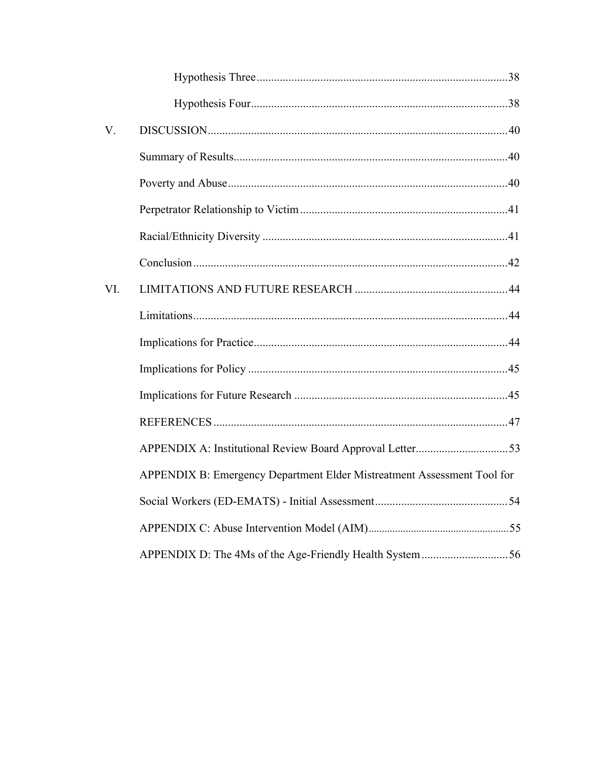| V.  |                                                                         |  |
|-----|-------------------------------------------------------------------------|--|
|     |                                                                         |  |
|     |                                                                         |  |
|     |                                                                         |  |
|     |                                                                         |  |
|     |                                                                         |  |
| VI. |                                                                         |  |
|     |                                                                         |  |
|     |                                                                         |  |
|     |                                                                         |  |
|     |                                                                         |  |
|     |                                                                         |  |
|     |                                                                         |  |
|     | APPENDIX B: Emergency Department Elder Mistreatment Assessment Tool for |  |
|     |                                                                         |  |
|     |                                                                         |  |
|     |                                                                         |  |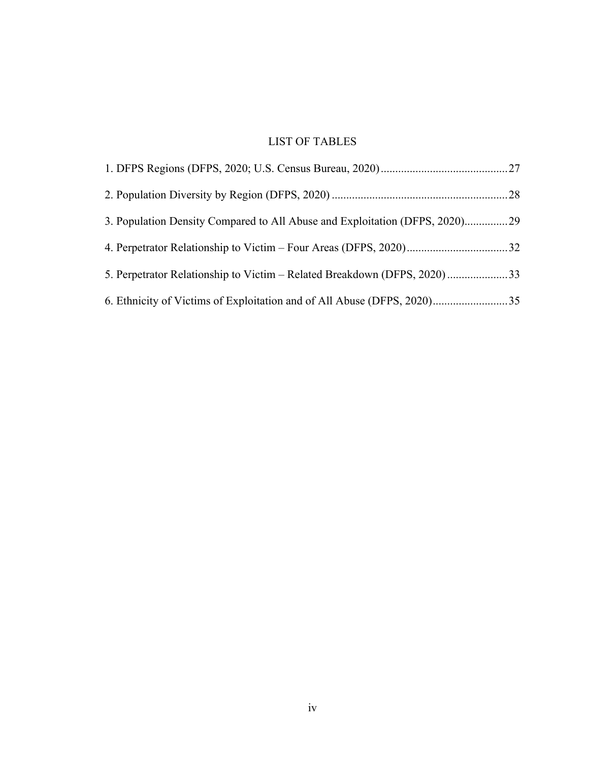# LIST OF TABLES

| 3. Population Density Compared to All Abuse and Exploitation (DFPS, 2020)29 |  |
|-----------------------------------------------------------------------------|--|
|                                                                             |  |
| 5. Perpetrator Relationship to Victim - Related Breakdown (DFPS, 2020)33    |  |
|                                                                             |  |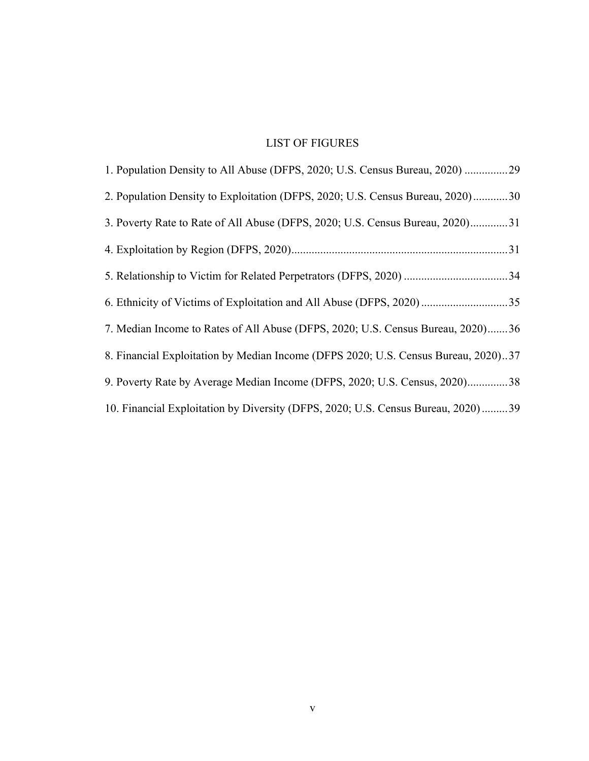# LIST OF FIGURES

| 1. Population Density to All Abuse (DFPS, 2020; U.S. Census Bureau, 2020) 29       |
|------------------------------------------------------------------------------------|
| 2. Population Density to Exploitation (DFPS, 2020; U.S. Census Bureau, 2020)30     |
| 3. Poverty Rate to Rate of All Abuse (DFPS, 2020; U.S. Census Bureau, 2020)31      |
|                                                                                    |
|                                                                                    |
|                                                                                    |
| 7. Median Income to Rates of All Abuse (DFPS, 2020; U.S. Census Bureau, 2020)36    |
| 8. Financial Exploitation by Median Income (DFPS 2020; U.S. Census Bureau, 2020)37 |
| 9. Poverty Rate by Average Median Income (DFPS, 2020; U.S. Census, 2020)38         |
| 10. Financial Exploitation by Diversity (DFPS, 2020; U.S. Census Bureau, 2020)  39 |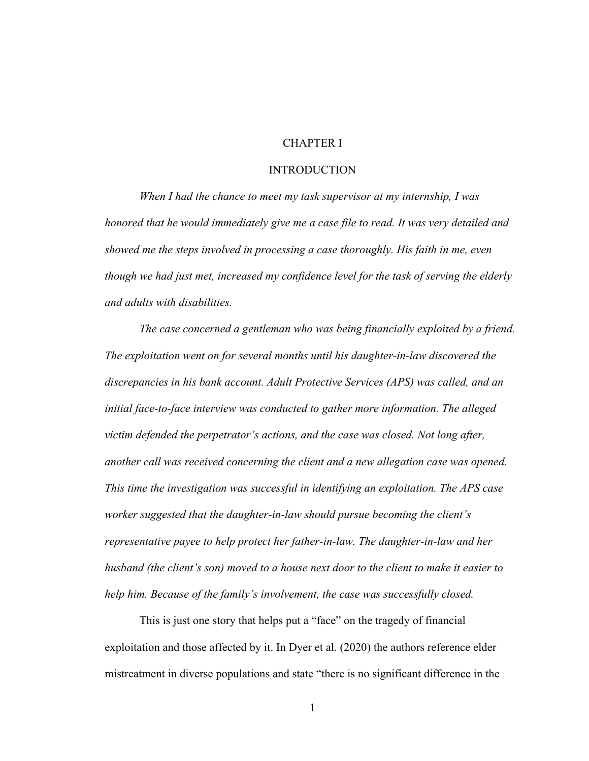# CHAPTER I

### **INTRODUCTION**

*When I had the chance to meet my task supervisor at my internship, I was honored that he would immediately give me a case file to read. It was very detailed and showed me the steps involved in processing a case thoroughly. His faith in me, even though we had just met, increased my confidence level for the task of serving the elderly and adults with disabilities.* 

*The case concerned a gentleman who was being financially exploited by a friend. The exploitation went on for several months until his daughter-in-law discovered the discrepancies in his bank account. Adult Protective Services (APS) was called, and an initial face-to-face interview was conducted to gather more information. The alleged victim defended the perpetrator's actions, and the case was closed. Not long after, another call was received concerning the client and a new allegation case was opened. This time the investigation was successful in identifying an exploitation. The APS case worker suggested that the daughter-in-law should pursue becoming the client's representative payee to help protect her father-in-law. The daughter-in-law and her husband (the client's son) moved to a house next door to the client to make it easier to help him. Because of the family's involvement, the case was successfully closed.*

This is just one story that helps put a "face" on the tragedy of financial exploitation and those affected by it. In Dyer et al. (2020) the authors reference elder mistreatment in diverse populations and state "there is no significant difference in the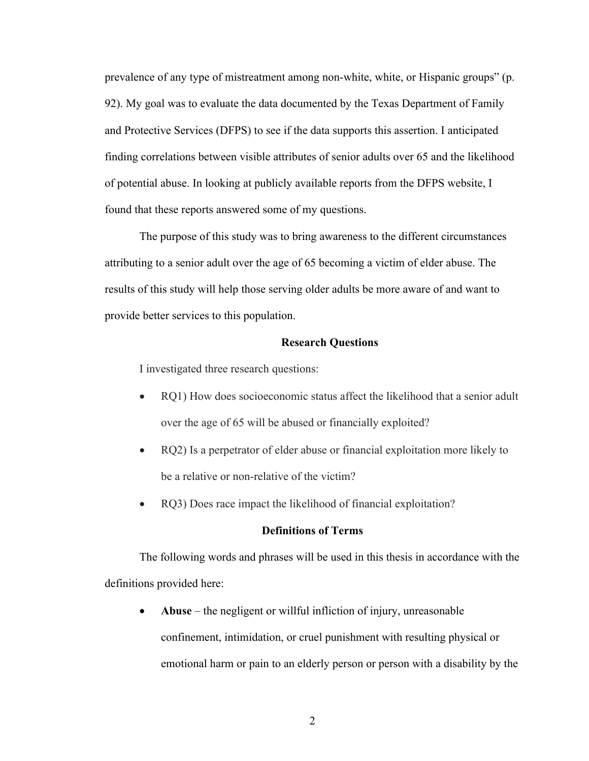prevalence of any type of mistreatment among non-white, white, or Hispanic groups" (p. 92). My goal was to evaluate the data documented by the Texas Department of Family and Protective Services (DFPS) to see if the data supports this assertion. I anticipated finding correlations between visible attributes of senior adults over 65 and the likelihood of potential abuse. In looking at publicly available reports from the DFPS website, I found that these reports answered some of my questions.

The purpose of this study was to bring awareness to the different circumstances attributing to a senior adult over the age of 65 becoming a victim of elder abuse. The results of this study will help those serving older adults be more aware of and want to provide better services to this population.

#### **Research Questions**

I investigated three research questions:

- RQ1) How does socioeconomic status affect the likelihood that a senior adult over the age of 65 will be abused or financially exploited?
- RQ2) Is a perpetrator of elder abuse or financial exploitation more likely to be a relative or non-relative of the victim?
- RQ3) Does race impact the likelihood of financial exploitation?

#### **Definitions of Terms**

The following words and phrases will be used in this thesis in accordance with the definitions provided here:

• **Abuse** – the negligent or willful infliction of injury, unreasonable confinement, intimidation, or cruel punishment with resulting physical or emotional harm or pain to an elderly person or person with a disability by the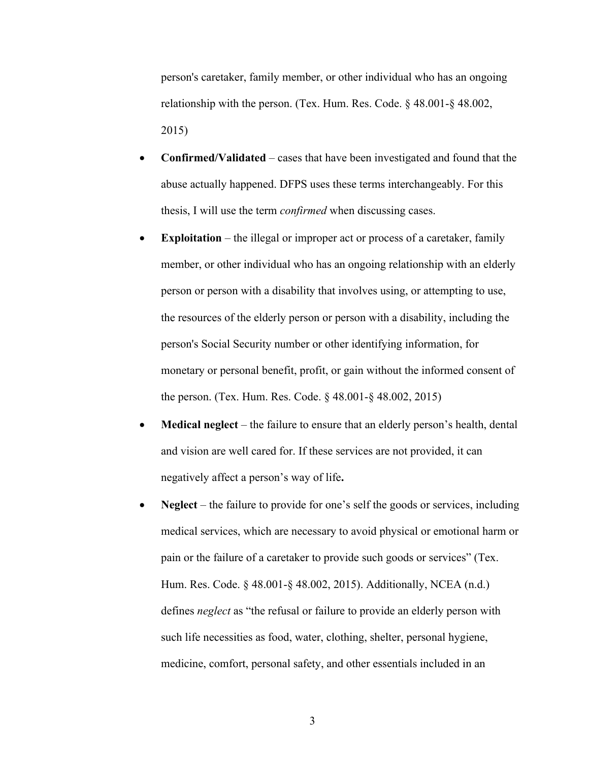person's caretaker, family member, or other individual who has an ongoing relationship with the person. (Tex. Hum. Res. Code. § 48.001-§ 48.002, 2015)

- **Confirmed/Validated**  cases that have been investigated and found that the abuse actually happened. DFPS uses these terms interchangeably. For this thesis, I will use the term *confirmed* when discussing cases.
- **Exploitation** the illegal or improper act or process of a caretaker, family member, or other individual who has an ongoing relationship with an elderly person or person with a disability that involves using, or attempting to use, the resources of the elderly person or person with a disability, including the person's Social Security number or other identifying information, for monetary or personal benefit, profit, or gain without the informed consent of the person. (Tex. Hum. Res. Code. § 48.001-§ 48.002, 2015)
- **Medical neglect** the failure to ensure that an elderly person's health, dental and vision are well cared for. If these services are not provided, it can negatively affect a person's way of life**.**
- **Neglect** the failure to provide for one's self the goods or services, including medical services, which are necessary to avoid physical or emotional harm or pain or the failure of a caretaker to provide such goods or services" (Tex. Hum. Res. Code. § 48.001-§ 48.002, 2015). Additionally, NCEA (n.d.) defines *neglect* as "the refusal or failure to provide an elderly person with such life necessities as food, water, clothing, shelter, personal hygiene, medicine, comfort, personal safety, and other essentials included in an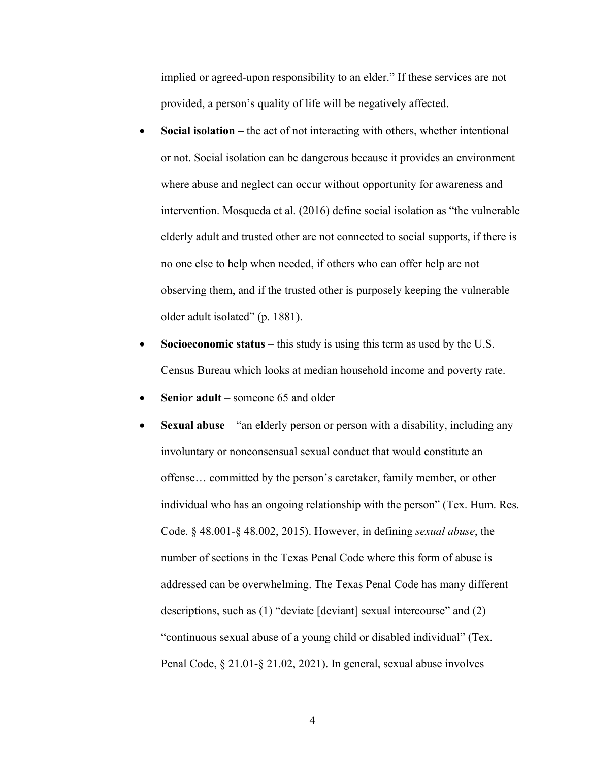implied or agreed-upon responsibility to an elder." If these services are not provided, a person's quality of life will be negatively affected.

- **Social isolation –** the act of not interacting with others, whether intentional or not. Social isolation can be dangerous because it provides an environment where abuse and neglect can occur without opportunity for awareness and intervention. Mosqueda et al. (2016) define social isolation as "the vulnerable elderly adult and trusted other are not connected to social supports, if there is no one else to help when needed, if others who can offer help are not observing them, and if the trusted other is purposely keeping the vulnerable older adult isolated" (p. 1881).
- **Socioeconomic status** this study is using this term as used by the U.S. Census Bureau which looks at median household income and poverty rate.
- **Senior adult** someone 65 and older
- **Sexual abuse** "an elderly person or person with a disability, including any involuntary or nonconsensual sexual conduct that would constitute an offense… committed by the person's caretaker, family member, or other individual who has an ongoing relationship with the person" (Tex. Hum. Res. Code. § 48.001-§ 48.002, 2015). However, in defining *sexual abuse*, the number of sections in the Texas Penal Code where this form of abuse is addressed can be overwhelming. The Texas Penal Code has many different descriptions, such as (1) "deviate [deviant] sexual intercourse" and (2) "continuous sexual abuse of a young child or disabled individual" (Tex. Penal Code, § 21.01-§ 21.02, 2021). In general, sexual abuse involves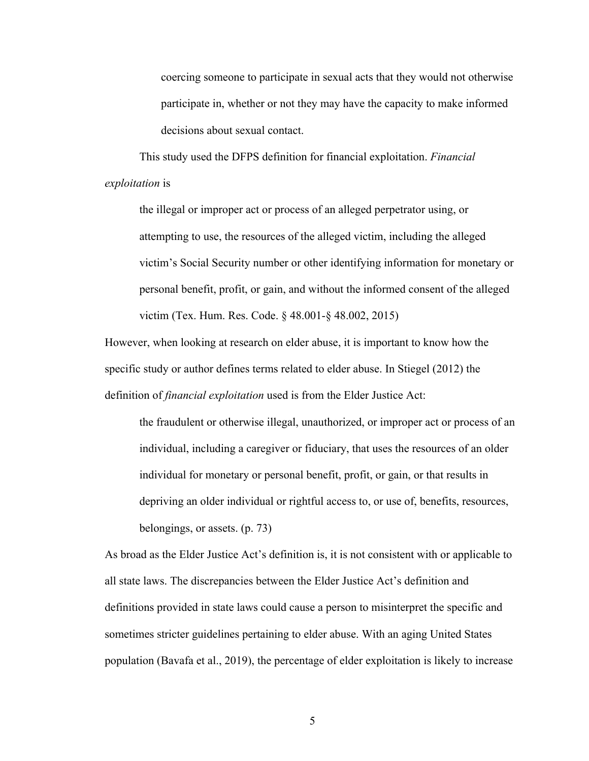coercing someone to participate in sexual acts that they would not otherwise participate in, whether or not they may have the capacity to make informed decisions about sexual contact.

This study used the DFPS definition for financial exploitation. *Financial exploitation* is

the illegal or improper act or process of an alleged perpetrator using, or attempting to use, the resources of the alleged victim, including the alleged victim's Social Security number or other identifying information for monetary or personal benefit, profit, or gain, and without the informed consent of the alleged victim (Tex. Hum. Res. Code. § 48.001-§ 48.002, 2015)

However, when looking at research on elder abuse, it is important to know how the specific study or author defines terms related to elder abuse. In Stiegel (2012) the definition of *financial exploitation* used is from the Elder Justice Act:

the fraudulent or otherwise illegal, unauthorized, or improper act or process of an individual, including a caregiver or fiduciary, that uses the resources of an older individual for monetary or personal benefit, profit, or gain, or that results in depriving an older individual or rightful access to, or use of, benefits, resources, belongings, or assets. (p. 73)

As broad as the Elder Justice Act's definition is, it is not consistent with or applicable to all state laws. The discrepancies between the Elder Justice Act's definition and definitions provided in state laws could cause a person to misinterpret the specific and sometimes stricter guidelines pertaining to elder abuse. With an aging United States population (Bavafa et al., 2019), the percentage of elder exploitation is likely to increase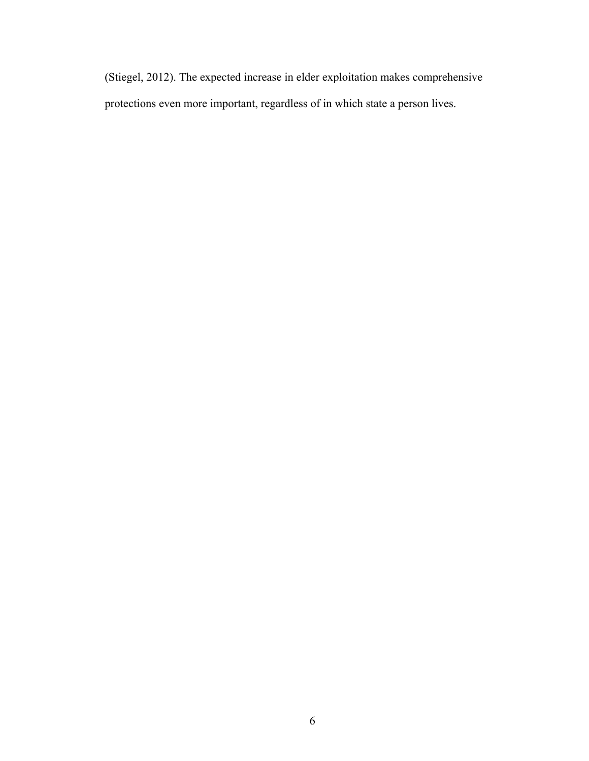(Stiegel, 2012). The expected increase in elder exploitation makes comprehensive protections even more important, regardless of in which state a person lives.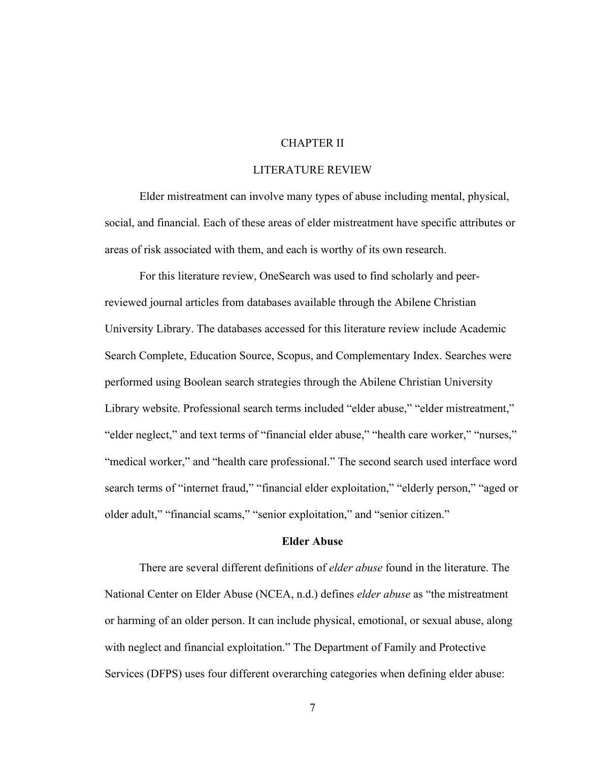# CHAPTER II

# LITERATURE REVIEW

Elder mistreatment can involve many types of abuse including mental, physical, social, and financial. Each of these areas of elder mistreatment have specific attributes or areas of risk associated with them, and each is worthy of its own research.

For this literature review, OneSearch was used to find scholarly and peerreviewed journal articles from databases available through the Abilene Christian University Library. The databases accessed for this literature review include Academic Search Complete, Education Source, Scopus, and Complementary Index. Searches were performed using Boolean search strategies through the Abilene Christian University Library website. Professional search terms included "elder abuse," "elder mistreatment," "elder neglect," and text terms of "financial elder abuse," "health care worker," "nurses," "medical worker," and "health care professional." The second search used interface word search terms of "internet fraud," "financial elder exploitation," "elderly person," "aged or older adult," "financial scams," "senior exploitation," and "senior citizen."

#### **Elder Abuse**

There are several different definitions of *elder abuse* found in the literature. The National Center on Elder Abuse (NCEA, n.d.) defines *elder abuse* as "the mistreatment or harming of an older person. It can include physical, emotional, or sexual abuse, along with neglect and financial exploitation." The Department of Family and Protective Services (DFPS) uses four different overarching categories when defining elder abuse: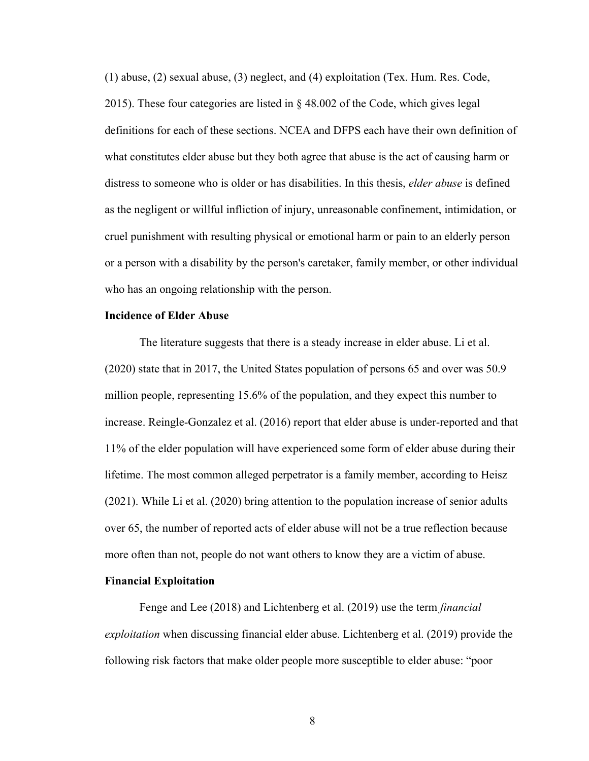(1) abuse, (2) sexual abuse, (3) neglect, and (4) exploitation (Tex. Hum. Res. Code, 2015). These four categories are listed in § 48.002 of the Code, which gives legal definitions for each of these sections. NCEA and DFPS each have their own definition of what constitutes elder abuse but they both agree that abuse is the act of causing harm or distress to someone who is older or has disabilities. In this thesis, *elder abuse* is defined as the negligent or willful infliction of injury, unreasonable confinement, intimidation, or cruel punishment with resulting physical or emotional harm or pain to an elderly person or a person with a disability by the person's caretaker, family member, or other individual who has an ongoing relationship with the person.

# **Incidence of Elder Abuse**

The literature suggests that there is a steady increase in elder abuse. Li et al. (2020) state that in 2017, the United States population of persons 65 and over was 50.9 million people, representing 15.6% of the population, and they expect this number to increase. Reingle-Gonzalez et al. (2016) report that elder abuse is under-reported and that 11% of the elder population will have experienced some form of elder abuse during their lifetime. The most common alleged perpetrator is a family member, according to Heisz (2021). While Li et al. (2020) bring attention to the population increase of senior adults over 65, the number of reported acts of elder abuse will not be a true reflection because more often than not, people do not want others to know they are a victim of abuse.

# **Financial Exploitation**

Fenge and Lee (2018) and Lichtenberg et al. (2019) use the term *financial exploitation* when discussing financial elder abuse. Lichtenberg et al. (2019) provide the following risk factors that make older people more susceptible to elder abuse: "poor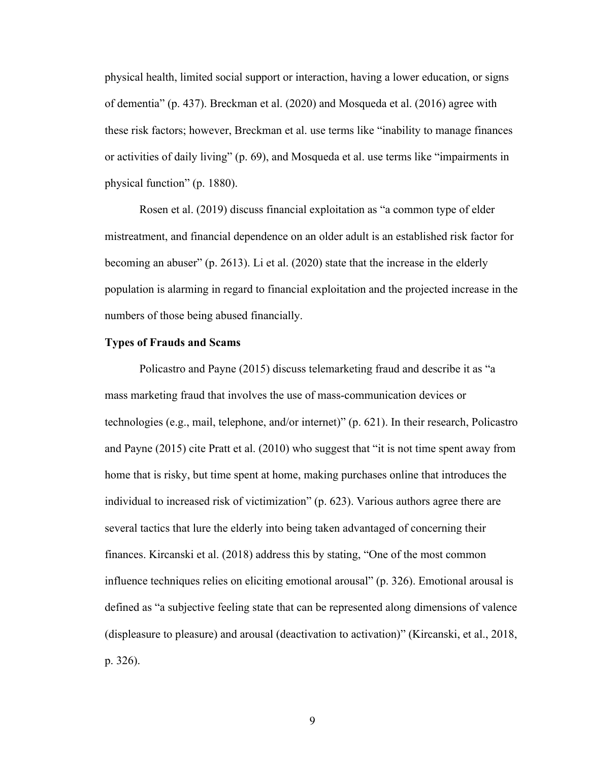physical health, limited social support or interaction, having a lower education, or signs of dementia" (p. 437). Breckman et al. (2020) and Mosqueda et al. (2016) agree with these risk factors; however, Breckman et al. use terms like "inability to manage finances or activities of daily living" (p. 69), and Mosqueda et al. use terms like "impairments in physical function" (p. 1880).

Rosen et al. (2019) discuss financial exploitation as "a common type of elder mistreatment, and financial dependence on an older adult is an established risk factor for becoming an abuser" (p. 2613). Li et al. (2020) state that the increase in the elderly population is alarming in regard to financial exploitation and the projected increase in the numbers of those being abused financially.

#### **Types of Frauds and Scams**

Policastro and Payne (2015) discuss telemarketing fraud and describe it as "a mass marketing fraud that involves the use of mass-communication devices or technologies (e.g., mail, telephone, and/or internet)" (p. 621). In their research, Policastro and Payne (2015) cite Pratt et al. (2010) who suggest that "it is not time spent away from home that is risky, but time spent at home, making purchases online that introduces the individual to increased risk of victimization" (p. 623). Various authors agree there are several tactics that lure the elderly into being taken advantaged of concerning their finances. Kircanski et al. (2018) address this by stating, "One of the most common influence techniques relies on eliciting emotional arousal" (p. 326). Emotional arousal is defined as "a subjective feeling state that can be represented along dimensions of valence (displeasure to pleasure) and arousal (deactivation to activation)" (Kircanski, et al., 2018, p. 326).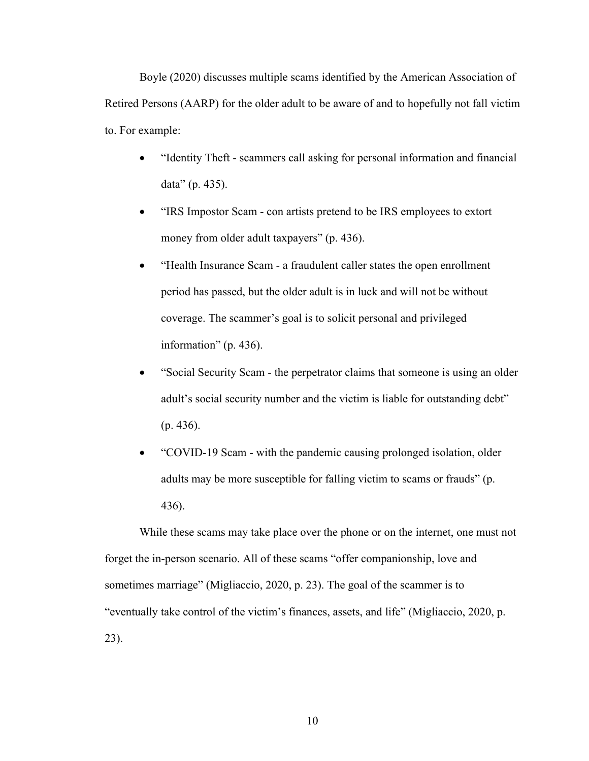Boyle (2020) discusses multiple scams identified by the American Association of Retired Persons (AARP) for the older adult to be aware of and to hopefully not fall victim to. For example:

- "Identity Theft scammers call asking for personal information and financial data" (p. 435).
- "IRS Impostor Scam con artists pretend to be IRS employees to extort money from older adult taxpayers" (p. 436).
- "Health Insurance Scam a fraudulent caller states the open enrollment period has passed, but the older adult is in luck and will not be without coverage. The scammer's goal is to solicit personal and privileged information" (p. 436).
- "Social Security Scam the perpetrator claims that someone is using an older adult's social security number and the victim is liable for outstanding debt" (p. 436).
- "COVID-19 Scam with the pandemic causing prolonged isolation, older adults may be more susceptible for falling victim to scams or frauds" (p. 436).

While these scams may take place over the phone or on the internet, one must not forget the in-person scenario. All of these scams "offer companionship, love and sometimes marriage" (Migliaccio, 2020, p. 23). The goal of the scammer is to "eventually take control of the victim's finances, assets, and life" (Migliaccio, 2020, p. 23).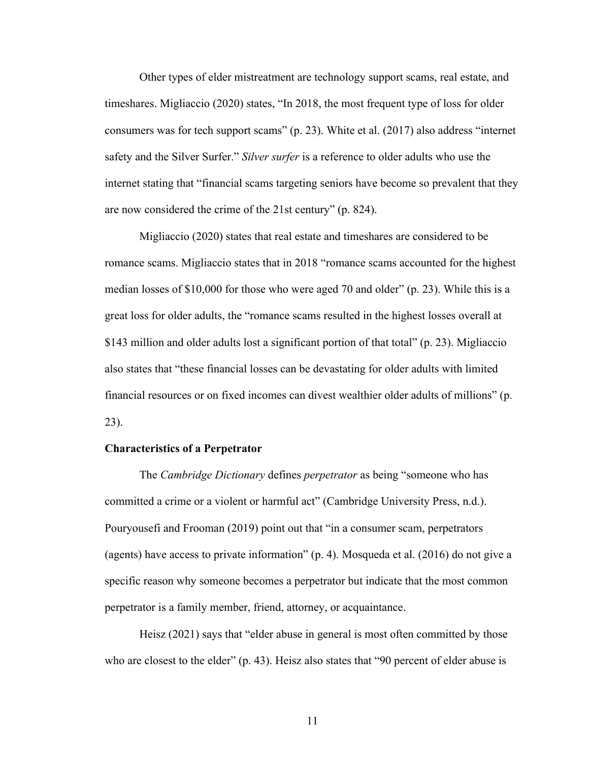Other types of elder mistreatment are technology support scams, real estate, and timeshares. Migliaccio (2020) states, "In 2018, the most frequent type of loss for older consumers was for tech support scams" (p. 23). White et al. (2017) also address "internet safety and the Silver Surfer." *Silver surfer* is a reference to older adults who use the internet stating that "financial scams targeting seniors have become so prevalent that they are now considered the crime of the 21st century" (p. 824).

Migliaccio (2020) states that real estate and timeshares are considered to be romance scams. Migliaccio states that in 2018 "romance scams accounted for the highest median losses of \$10,000 for those who were aged 70 and older" (p. 23). While this is a great loss for older adults, the "romance scams resulted in the highest losses overall at \$143 million and older adults lost a significant portion of that total" (p. 23). Migliaccio also states that "these financial losses can be devastating for older adults with limited financial resources or on fixed incomes can divest wealthier older adults of millions" (p. 23).

#### **Characteristics of a Perpetrator**

The *Cambridge Dictionary* defines *perpetrator* as being "someone who has committed a crime or a violent or harmful act" (Cambridge University Press, n.d.). Pouryousefi and Frooman (2019) point out that "in a consumer scam, perpetrators (agents) have access to private information" (p. 4). Mosqueda et al. (2016) do not give a specific reason why someone becomes a perpetrator but indicate that the most common perpetrator is a family member, friend, attorney, or acquaintance.

Heisz (2021) says that "elder abuse in general is most often committed by those who are closest to the elder" (p. 43). Heisz also states that "90 percent of elder abuse is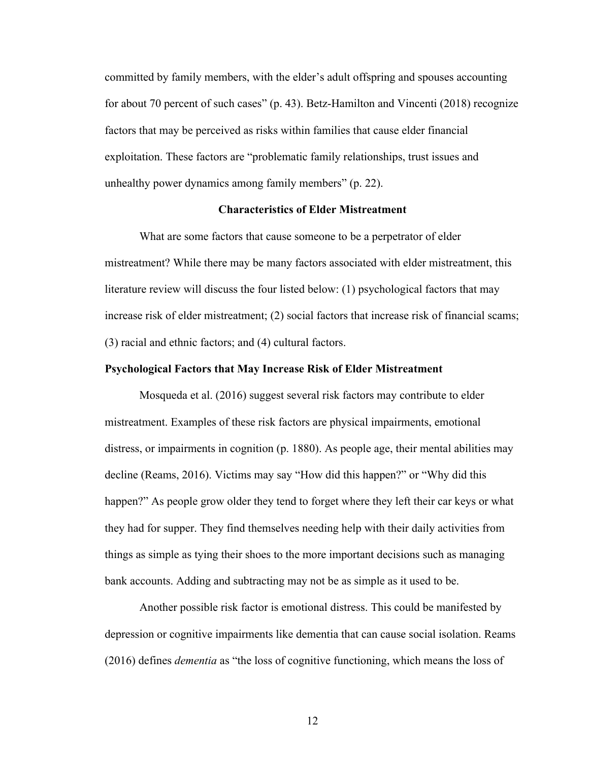committed by family members, with the elder's adult offspring and spouses accounting for about 70 percent of such cases" (p. 43). Betz-Hamilton and Vincenti (2018) recognize factors that may be perceived as risks within families that cause elder financial exploitation. These factors are "problematic family relationships, trust issues and unhealthy power dynamics among family members" (p. 22).

# **Characteristics of Elder Mistreatment**

What are some factors that cause someone to be a perpetrator of elder mistreatment? While there may be many factors associated with elder mistreatment, this literature review will discuss the four listed below: (1) psychological factors that may increase risk of elder mistreatment; (2) social factors that increase risk of financial scams; (3) racial and ethnic factors; and (4) cultural factors.

#### **Psychological Factors that May Increase Risk of Elder Mistreatment**

Mosqueda et al. (2016) suggest several risk factors may contribute to elder mistreatment. Examples of these risk factors are physical impairments, emotional distress, or impairments in cognition (p. 1880). As people age, their mental abilities may decline (Reams, 2016). Victims may say "How did this happen?" or "Why did this happen?" As people grow older they tend to forget where they left their car keys or what they had for supper. They find themselves needing help with their daily activities from things as simple as tying their shoes to the more important decisions such as managing bank accounts. Adding and subtracting may not be as simple as it used to be.

Another possible risk factor is emotional distress. This could be manifested by depression or cognitive impairments like dementia that can cause social isolation. Reams (2016) defines *dementia* as "the loss of cognitive functioning, which means the loss of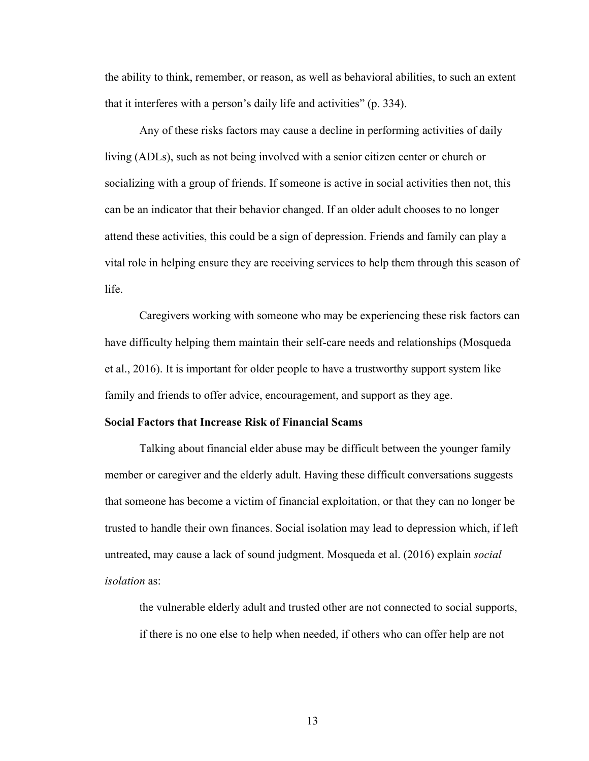the ability to think, remember, or reason, as well as behavioral abilities, to such an extent that it interferes with a person's daily life and activities" (p. 334).

Any of these risks factors may cause a decline in performing activities of daily living (ADLs), such as not being involved with a senior citizen center or church or socializing with a group of friends. If someone is active in social activities then not, this can be an indicator that their behavior changed. If an older adult chooses to no longer attend these activities, this could be a sign of depression. Friends and family can play a vital role in helping ensure they are receiving services to help them through this season of life.

Caregivers working with someone who may be experiencing these risk factors can have difficulty helping them maintain their self-care needs and relationships (Mosqueda et al., 2016). It is important for older people to have a trustworthy support system like family and friends to offer advice, encouragement, and support as they age.

### **Social Factors that Increase Risk of Financial Scams**

Talking about financial elder abuse may be difficult between the younger family member or caregiver and the elderly adult. Having these difficult conversations suggests that someone has become a victim of financial exploitation, or that they can no longer be trusted to handle their own finances. Social isolation may lead to depression which, if left untreated, may cause a lack of sound judgment. Mosqueda et al. (2016) explain *social isolation* as:

the vulnerable elderly adult and trusted other are not connected to social supports, if there is no one else to help when needed, if others who can offer help are not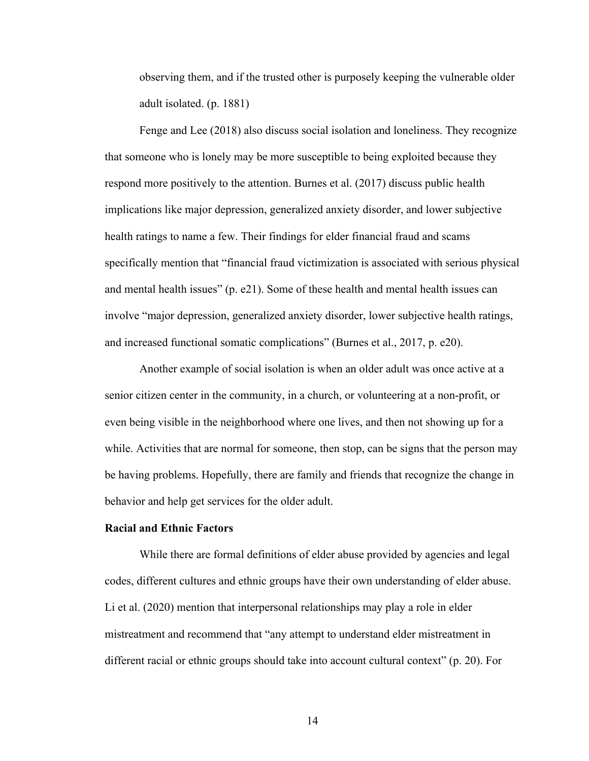observing them, and if the trusted other is purposely keeping the vulnerable older adult isolated. (p. 1881)

Fenge and Lee (2018) also discuss social isolation and loneliness. They recognize that someone who is lonely may be more susceptible to being exploited because they respond more positively to the attention. Burnes et al. (2017) discuss public health implications like major depression, generalized anxiety disorder, and lower subjective health ratings to name a few. Their findings for elder financial fraud and scams specifically mention that "financial fraud victimization is associated with serious physical and mental health issues" (p. e21). Some of these health and mental health issues can involve "major depression, generalized anxiety disorder, lower subjective health ratings, and increased functional somatic complications" (Burnes et al., 2017, p. e20).

Another example of social isolation is when an older adult was once active at a senior citizen center in the community, in a church, or volunteering at a non-profit, or even being visible in the neighborhood where one lives, and then not showing up for a while. Activities that are normal for someone, then stop, can be signs that the person may be having problems. Hopefully, there are family and friends that recognize the change in behavior and help get services for the older adult.

# **Racial and Ethnic Factors**

While there are formal definitions of elder abuse provided by agencies and legal codes, different cultures and ethnic groups have their own understanding of elder abuse. Li et al. (2020) mention that interpersonal relationships may play a role in elder mistreatment and recommend that "any attempt to understand elder mistreatment in different racial or ethnic groups should take into account cultural context" (p. 20). For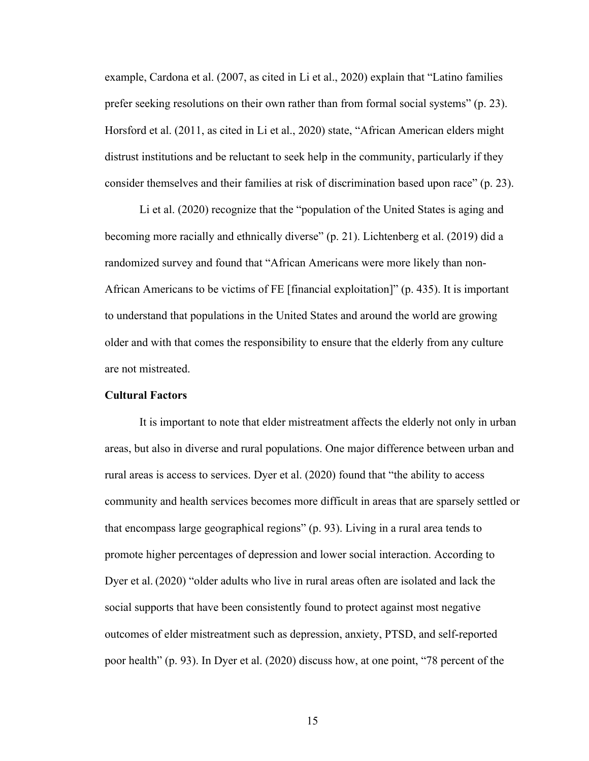example, Cardona et al. (2007, as cited in Li et al., 2020) explain that "Latino families prefer seeking resolutions on their own rather than from formal social systems" (p. 23). Horsford et al. (2011, as cited in Li et al., 2020) state, "African American elders might distrust institutions and be reluctant to seek help in the community, particularly if they consider themselves and their families at risk of discrimination based upon race" (p. 23).

Li et al. (2020) recognize that the "population of the United States is aging and becoming more racially and ethnically diverse" (p. 21). Lichtenberg et al. (2019) did a randomized survey and found that "African Americans were more likely than non-African Americans to be victims of FE [financial exploitation]" (p. 435). It is important to understand that populations in the United States and around the world are growing older and with that comes the responsibility to ensure that the elderly from any culture are not mistreated.

# **Cultural Factors**

It is important to note that elder mistreatment affects the elderly not only in urban areas, but also in diverse and rural populations. One major difference between urban and rural areas is access to services. Dyer et al. (2020) found that "the ability to access community and health services becomes more difficult in areas that are sparsely settled or that encompass large geographical regions" (p. 93). Living in a rural area tends to promote higher percentages of depression and lower social interaction. According to Dyer et al. (2020) "older adults who live in rural areas often are isolated and lack the social supports that have been consistently found to protect against most negative outcomes of elder mistreatment such as depression, anxiety, PTSD, and self-reported poor health" (p. 93). In Dyer et al. (2020) discuss how, at one point, "78 percent of the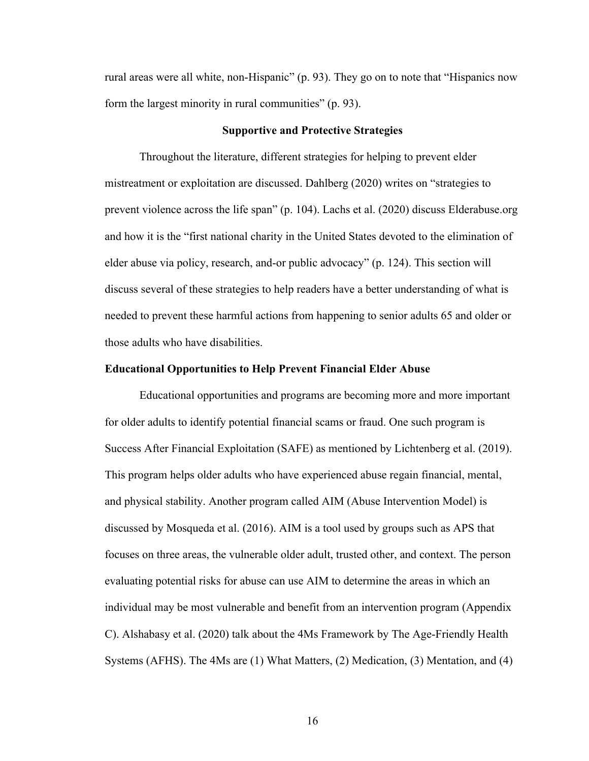rural areas were all white, non-Hispanic" (p. 93). They go on to note that "Hispanics now form the largest minority in rural communities" (p. 93).

#### **Supportive and Protective Strategies**

Throughout the literature, different strategies for helping to prevent elder mistreatment or exploitation are discussed. Dahlberg (2020) writes on "strategies to prevent violence across the life span" (p. 104). Lachs et al. (2020) discuss Elderabuse.org and how it is the "first national charity in the United States devoted to the elimination of elder abuse via policy, research, and-or public advocacy" (p. 124). This section will discuss several of these strategies to help readers have a better understanding of what is needed to prevent these harmful actions from happening to senior adults 65 and older or those adults who have disabilities.

#### **Educational Opportunities to Help Prevent Financial Elder Abuse**

Educational opportunities and programs are becoming more and more important for older adults to identify potential financial scams or fraud. One such program is Success After Financial Exploitation (SAFE) as mentioned by Lichtenberg et al. (2019). This program helps older adults who have experienced abuse regain financial, mental, and physical stability. Another program called AIM (Abuse Intervention Model) is discussed by Mosqueda et al. (2016). AIM is a tool used by groups such as APS that focuses on three areas, the vulnerable older adult, trusted other, and context. The person evaluating potential risks for abuse can use AIM to determine the areas in which an individual may be most vulnerable and benefit from an intervention program (Appendix C). Alshabasy et al. (2020) talk about the 4Ms Framework by The Age-Friendly Health Systems (AFHS). The 4Ms are (1) What Matters, (2) Medication, (3) Mentation, and (4)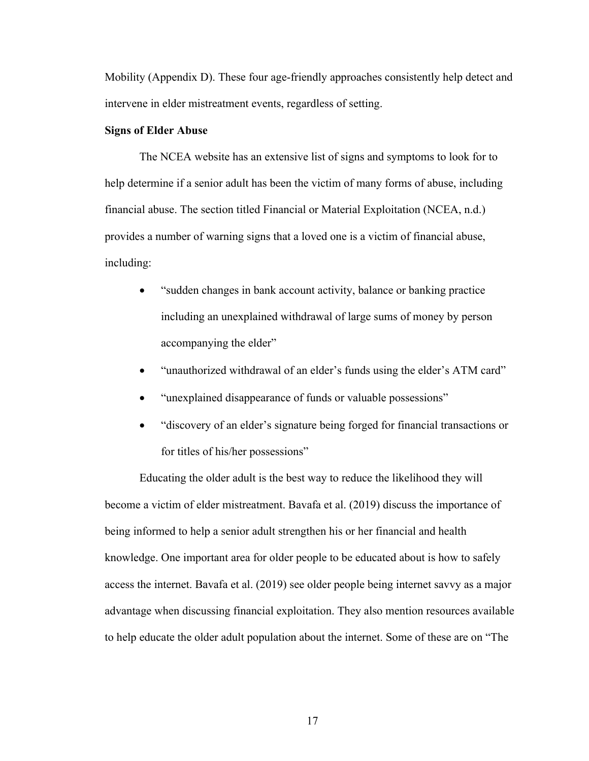Mobility (Appendix D). These four age-friendly approaches consistently help detect and intervene in elder mistreatment events, regardless of setting.

#### **Signs of Elder Abuse**

The NCEA website has an extensive list of signs and symptoms to look for to help determine if a senior adult has been the victim of many forms of abuse, including financial abuse. The section titled Financial or Material Exploitation (NCEA, n.d.) provides a number of warning signs that a loved one is a victim of financial abuse, including:

- "sudden changes in bank account activity, balance or banking practice including an unexplained withdrawal of large sums of money by person accompanying the elder"
- "unauthorized withdrawal of an elder's funds using the elder's ATM card"
- "unexplained disappearance of funds or valuable possessions"
- "discovery of an elder's signature being forged for financial transactions or for titles of his/her possessions"

Educating the older adult is the best way to reduce the likelihood they will become a victim of elder mistreatment. Bavafa et al. (2019) discuss the importance of being informed to help a senior adult strengthen his or her financial and health knowledge. One important area for older people to be educated about is how to safely access the internet. Bavafa et al. (2019) see older people being internet savvy as a major advantage when discussing financial exploitation. They also mention resources available to help educate the older adult population about the internet. Some of these are on "The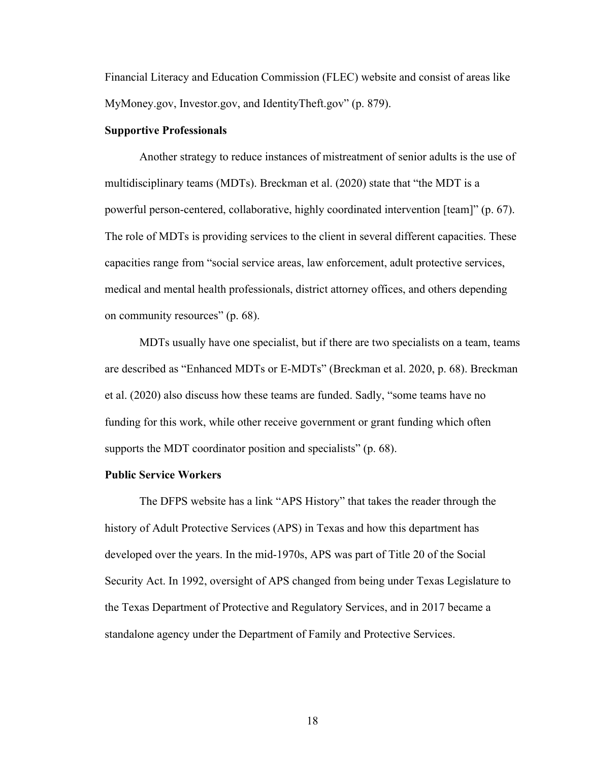Financial Literacy and Education Commission (FLEC) website and consist of areas like MyMoney.gov, Investor.gov, and IdentityTheft.gov" (p. 879).

#### **Supportive Professionals**

Another strategy to reduce instances of mistreatment of senior adults is the use of multidisciplinary teams (MDTs). Breckman et al. (2020) state that "the MDT is a powerful person-centered, collaborative, highly coordinated intervention [team]" (p. 67). The role of MDTs is providing services to the client in several different capacities. These capacities range from "social service areas, law enforcement, adult protective services, medical and mental health professionals, district attorney offices, and others depending on community resources" (p. 68).

MDTs usually have one specialist, but if there are two specialists on a team, teams are described as "Enhanced MDTs or E-MDTs" (Breckman et al. 2020, p. 68). Breckman et al. (2020) also discuss how these teams are funded. Sadly, "some teams have no funding for this work, while other receive government or grant funding which often supports the MDT coordinator position and specialists" (p. 68).

#### **Public Service Workers**

The DFPS website has a link "APS History" that takes the reader through the history of Adult Protective Services (APS) in Texas and how this department has developed over the years. In the mid-1970s, APS was part of Title 20 of the Social Security Act. In 1992, oversight of APS changed from being under Texas Legislature to the Texas Department of Protective and Regulatory Services, and in 2017 became a standalone agency under the Department of Family and Protective Services.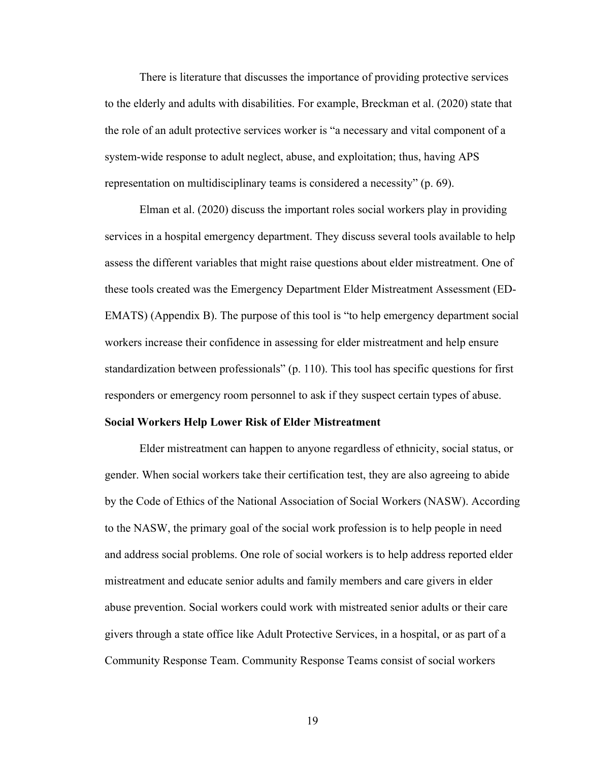There is literature that discusses the importance of providing protective services to the elderly and adults with disabilities. For example, Breckman et al. (2020) state that the role of an adult protective services worker is "a necessary and vital component of a system-wide response to adult neglect, abuse, and exploitation; thus, having APS representation on multidisciplinary teams is considered a necessity" (p. 69).

Elman et al. (2020) discuss the important roles social workers play in providing services in a hospital emergency department. They discuss several tools available to help assess the different variables that might raise questions about elder mistreatment. One of these tools created was the Emergency Department Elder Mistreatment Assessment (ED-EMATS) (Appendix B). The purpose of this tool is "to help emergency department social workers increase their confidence in assessing for elder mistreatment and help ensure standardization between professionals" (p. 110). This tool has specific questions for first responders or emergency room personnel to ask if they suspect certain types of abuse.

#### **Social Workers Help Lower Risk of Elder Mistreatment**

Elder mistreatment can happen to anyone regardless of ethnicity, social status, or gender. When social workers take their certification test, they are also agreeing to abide by the Code of Ethics of the National Association of Social Workers (NASW). According to the NASW, the primary goal of the social work profession is to help people in need and address social problems. One role of social workers is to help address reported elder mistreatment and educate senior adults and family members and care givers in elder abuse prevention. Social workers could work with mistreated senior adults or their care givers through a state office like Adult Protective Services, in a hospital, or as part of a Community Response Team. Community Response Teams consist of social workers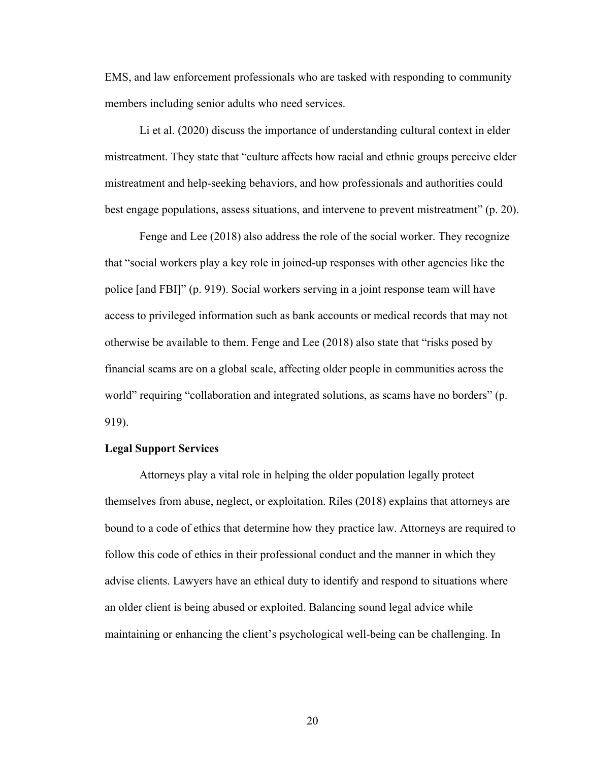EMS, and law enforcement professionals who are tasked with responding to community members including senior adults who need services.

Li et al. (2020) discuss the importance of understanding cultural context in elder mistreatment. They state that "culture affects how racial and ethnic groups perceive elder mistreatment and help-seeking behaviors, and how professionals and authorities could best engage populations, assess situations, and intervene to prevent mistreatment" (p. 20).

Fenge and Lee (2018) also address the role of the social worker. They recognize that "social workers play a key role in joined-up responses with other agencies like the police [and FBI]" (p. 919). Social workers serving in a joint response team will have access to privileged information such as bank accounts or medical records that may not otherwise be available to them. Fenge and Lee (2018) also state that "risks posed by financial scams are on a global scale, affecting older people in communities across the world" requiring "collaboration and integrated solutions, as scams have no borders" (p. 919).

# **Legal Support Services**

Attorneys play a vital role in helping the older population legally protect themselves from abuse, neglect, or exploitation. Riles (2018) explains that attorneys are bound to a code of ethics that determine how they practice law. Attorneys are required to follow this code of ethics in their professional conduct and the manner in which they advise clients. Lawyers have an ethical duty to identify and respond to situations where an older client is being abused or exploited. Balancing sound legal advice while maintaining or enhancing the client's psychological well-being can be challenging. In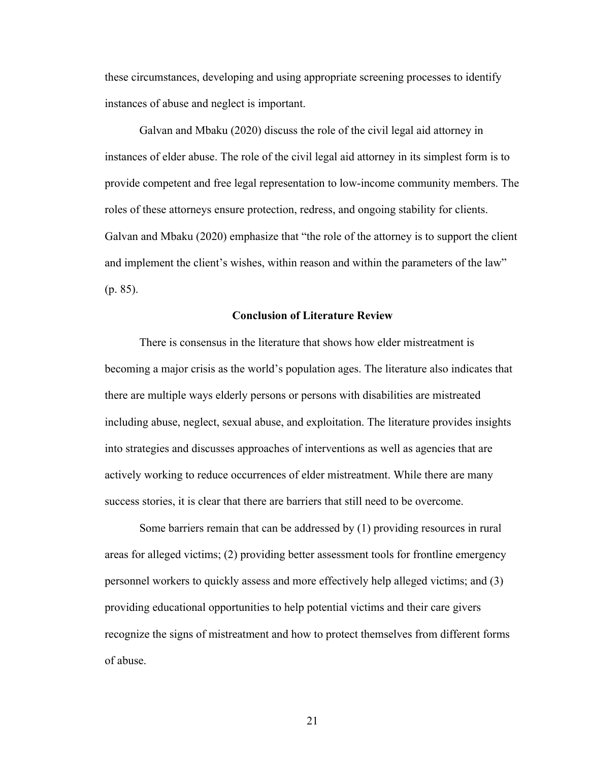these circumstances, developing and using appropriate screening processes to identify instances of abuse and neglect is important.

Galvan and Mbaku (2020) discuss the role of the civil legal aid attorney in instances of elder abuse. The role of the civil legal aid attorney in its simplest form is to provide competent and free legal representation to low-income community members. The roles of these attorneys ensure protection, redress, and ongoing stability for clients. Galvan and Mbaku (2020) emphasize that "the role of the attorney is to support the client and implement the client's wishes, within reason and within the parameters of the law" (p. 85).

#### **Conclusion of Literature Review**

There is consensus in the literature that shows how elder mistreatment is becoming a major crisis as the world's population ages. The literature also indicates that there are multiple ways elderly persons or persons with disabilities are mistreated including abuse, neglect, sexual abuse, and exploitation. The literature provides insights into strategies and discusses approaches of interventions as well as agencies that are actively working to reduce occurrences of elder mistreatment. While there are many success stories, it is clear that there are barriers that still need to be overcome.

Some barriers remain that can be addressed by (1) providing resources in rural areas for alleged victims; (2) providing better assessment tools for frontline emergency personnel workers to quickly assess and more effectively help alleged victims; and (3) providing educational opportunities to help potential victims and their care givers recognize the signs of mistreatment and how to protect themselves from different forms of abuse.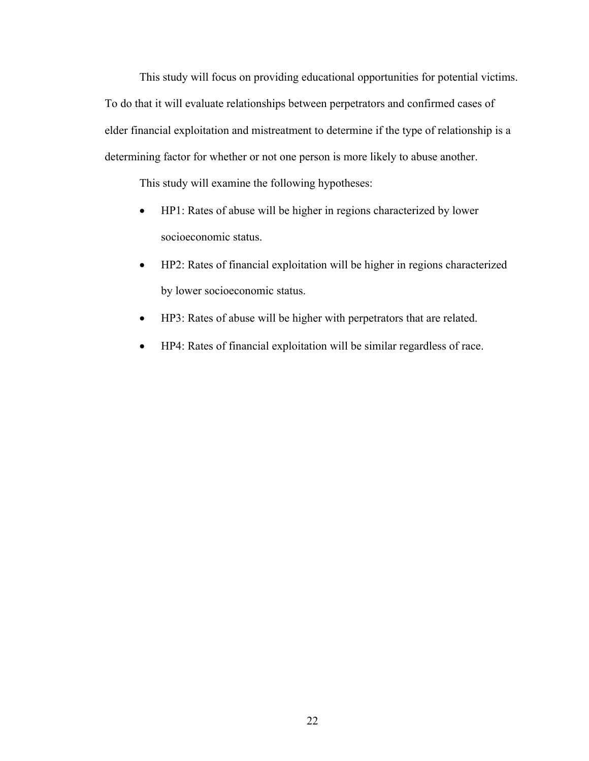This study will focus on providing educational opportunities for potential victims. To do that it will evaluate relationships between perpetrators and confirmed cases of elder financial exploitation and mistreatment to determine if the type of relationship is a determining factor for whether or not one person is more likely to abuse another.

This study will examine the following hypotheses:

- HP1: Rates of abuse will be higher in regions characterized by lower socioeconomic status.
- HP2: Rates of financial exploitation will be higher in regions characterized by lower socioeconomic status.
- HP3: Rates of abuse will be higher with perpetrators that are related.
- HP4: Rates of financial exploitation will be similar regardless of race.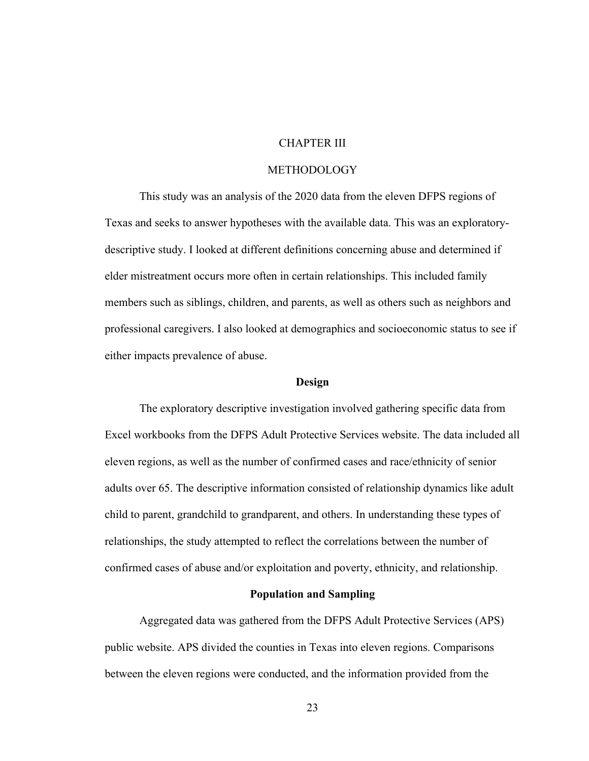# CHAPTER III

#### METHODOLOGY

This study was an analysis of the 2020 data from the eleven DFPS regions of Texas and seeks to answer hypotheses with the available data. This was an exploratorydescriptive study. I looked at different definitions concerning abuse and determined if elder mistreatment occurs more often in certain relationships. This included family members such as siblings, children, and parents, as well as others such as neighbors and professional caregivers. I also looked at demographics and socioeconomic status to see if either impacts prevalence of abuse.

#### **Design**

The exploratory descriptive investigation involved gathering specific data from Excel workbooks from the DFPS Adult Protective Services website. The data included all eleven regions, as well as the number of confirmed cases and race/ethnicity of senior adults over 65. The descriptive information consisted of relationship dynamics like adult child to parent, grandchild to grandparent, and others. In understanding these types of relationships, the study attempted to reflect the correlations between the number of confirmed cases of abuse and/or exploitation and poverty, ethnicity, and relationship.

#### **Population and Sampling**

Aggregated data was gathered from the DFPS Adult Protective Services (APS) public website. APS divided the counties in Texas into eleven regions. Comparisons between the eleven regions were conducted, and the information provided from the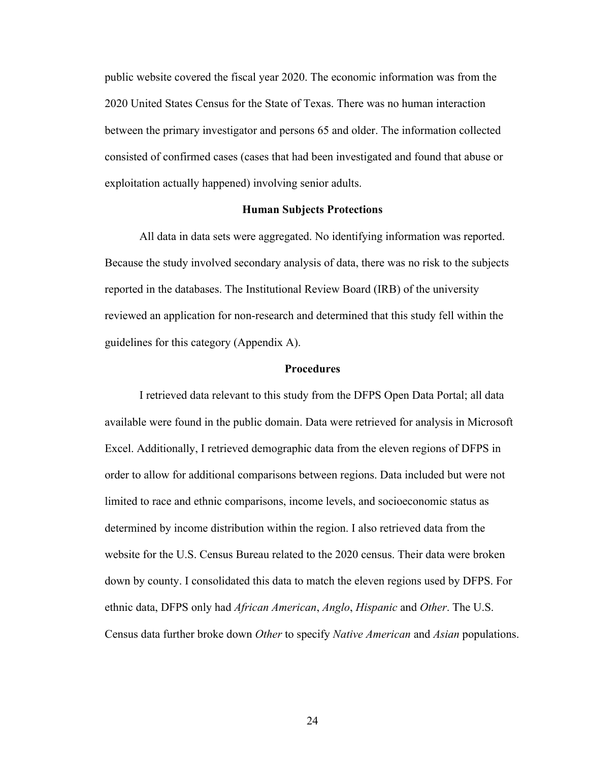public website covered the fiscal year 2020. The economic information was from the 2020 United States Census for the State of Texas. There was no human interaction between the primary investigator and persons 65 and older. The information collected consisted of confirmed cases (cases that had been investigated and found that abuse or exploitation actually happened) involving senior adults.

# **Human Subjects Protections**

All data in data sets were aggregated. No identifying information was reported. Because the study involved secondary analysis of data, there was no risk to the subjects reported in the databases. The Institutional Review Board (IRB) of the university reviewed an application for non-research and determined that this study fell within the guidelines for this category (Appendix A).

### **Procedures**

I retrieved data relevant to this study from the DFPS Open Data Portal; all data available were found in the public domain. Data were retrieved for analysis in Microsoft Excel. Additionally, I retrieved demographic data from the eleven regions of DFPS in order to allow for additional comparisons between regions. Data included but were not limited to race and ethnic comparisons, income levels, and socioeconomic status as determined by income distribution within the region. I also retrieved data from the website for the U.S. Census Bureau related to the 2020 census. Their data were broken down by county. I consolidated this data to match the eleven regions used by DFPS. For ethnic data, DFPS only had *African American*, *Anglo*, *Hispanic* and *Other*. The U.S. Census data further broke down *Other* to specify *Native American* and *Asian* populations.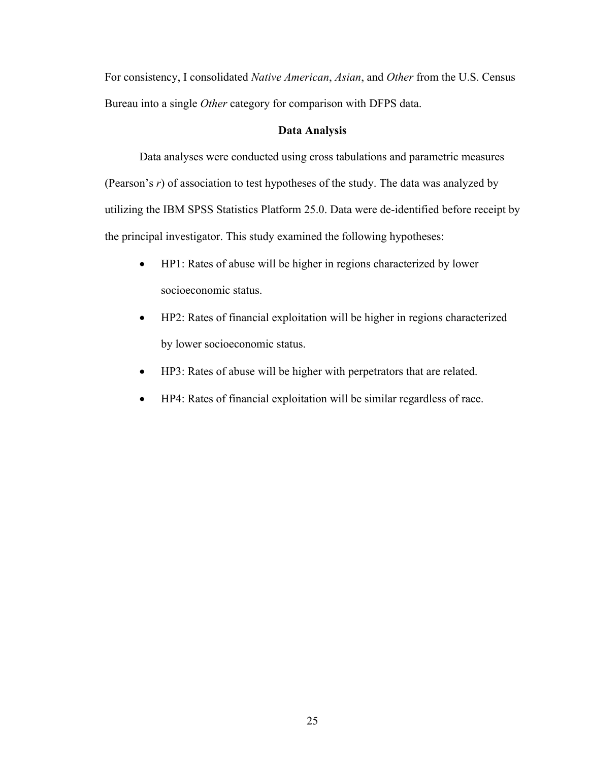For consistency, I consolidated *Native American*, *Asian*, and *Other* from the U.S. Census Bureau into a single *Other* category for comparison with DFPS data.

### **Data Analysis**

Data analyses were conducted using cross tabulations and parametric measures (Pearson's *r*) of association to test hypotheses of the study. The data was analyzed by utilizing the IBM SPSS Statistics Platform 25.0. Data were de-identified before receipt by the principal investigator. This study examined the following hypotheses:

- HP1: Rates of abuse will be higher in regions characterized by lower socioeconomic status.
- HP2: Rates of financial exploitation will be higher in regions characterized by lower socioeconomic status.
- HP3: Rates of abuse will be higher with perpetrators that are related.
- HP4: Rates of financial exploitation will be similar regardless of race.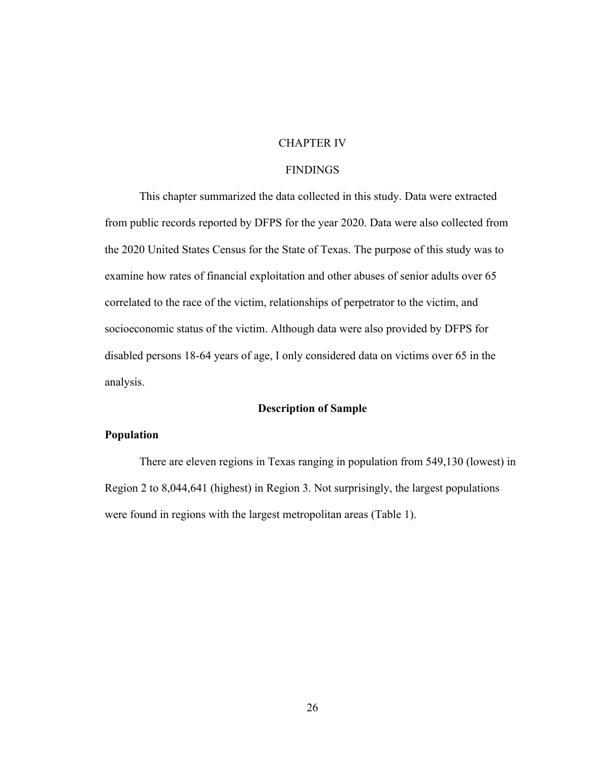# CHAPTER IV

# FINDINGS

This chapter summarized the data collected in this study. Data were extracted from public records reported by DFPS for the year 2020. Data were also collected from the 2020 United States Census for the State of Texas. The purpose of this study was to examine how rates of financial exploitation and other abuses of senior adults over 65 correlated to the race of the victim, relationships of perpetrator to the victim, and socioeconomic status of the victim. Although data were also provided by DFPS for disabled persons 18-64 years of age, I only considered data on victims over 65 in the analysis.

#### **Description of Sample**

# **Population**

There are eleven regions in Texas ranging in population from 549,130 (lowest) in Region 2 to 8,044,641 (highest) in Region 3. Not surprisingly, the largest populations were found in regions with the largest metropolitan areas (Table 1).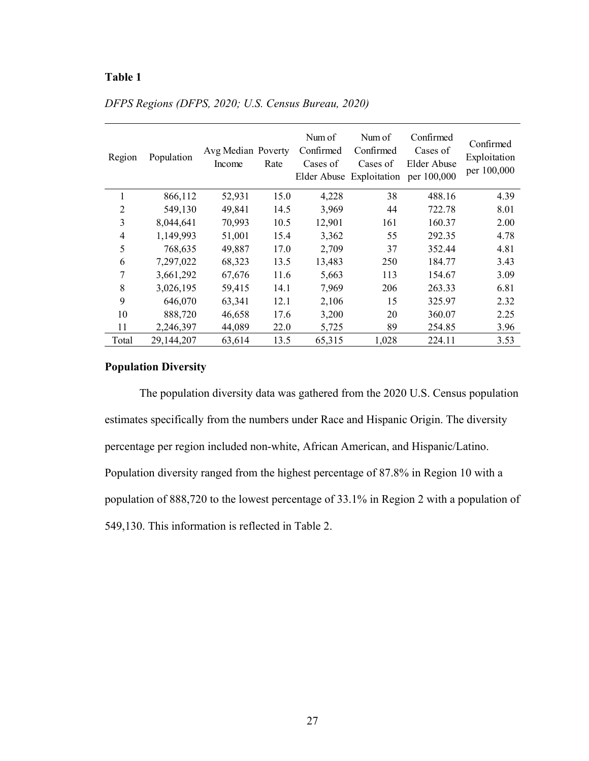| Region         | Population | Avg Median Poverty<br>Income | Rate | Num of<br>Confirmed<br>Cases of | Num of<br>Confirmed<br>Cases of<br>Elder Abuse Exploitation per 100,000 | Confirmed<br>Cases of<br>Elder Abuse | Confirmed<br>Exploitation<br>per 100,000 |
|----------------|------------|------------------------------|------|---------------------------------|-------------------------------------------------------------------------|--------------------------------------|------------------------------------------|
| 1              | 866,112    | 52,931                       | 15.0 | 4,228                           | 38                                                                      | 488.16                               | 4.39                                     |
| $\overline{2}$ | 549,130    | 49,841                       | 14.5 | 3,969                           | 44                                                                      | 722.78                               | 8.01                                     |
| 3              | 8,044,641  | 70,993                       | 10.5 | 12,901                          | 161                                                                     | 160.37                               | 2.00                                     |
| 4              | 1,149,993  | 51,001                       | 15.4 | 3,362                           | 55                                                                      | 292.35                               | 4.78                                     |
| 5              | 768,635    | 49,887                       | 17.0 | 2,709                           | 37                                                                      | 352.44                               | 4.81                                     |
| 6              | 7,297,022  | 68,323                       | 13.5 | 13,483                          | 250                                                                     | 184.77                               | 3.43                                     |
| 7              | 3,661,292  | 67,676                       | 11.6 | 5,663                           | 113                                                                     | 154.67                               | 3.09                                     |
| 8              | 3,026,195  | 59,415                       | 14.1 | 7,969                           | 206                                                                     | 263.33                               | 6.81                                     |
| 9              | 646,070    | 63,341                       | 12.1 | 2,106                           | 15                                                                      | 325.97                               | 2.32                                     |
| 10             | 888,720    | 46,658                       | 17.6 | 3,200                           | 20                                                                      | 360.07                               | 2.25                                     |
| 11             | 2,246,397  | 44,089                       | 22.0 | 5,725                           | 89                                                                      | 254.85                               | 3.96                                     |
| Total          | 29,144,207 | 63,614                       | 13.5 | 65,315                          | 1.028                                                                   | 224.11                               | 3.53                                     |

# *DFPS Regions (DFPS, 2020; U.S. Census Bureau, 2020)*

# **Population Diversity**

The population diversity data was gathered from the 2020 U.S. Census population estimates specifically from the numbers under Race and Hispanic Origin. The diversity percentage per region included non-white, African American, and Hispanic/Latino. Population diversity ranged from the highest percentage of 87.8% in Region 10 with a population of 888,720 to the lowest percentage of 33.1% in Region 2 with a population of 549,130. This information is reflected in Table 2.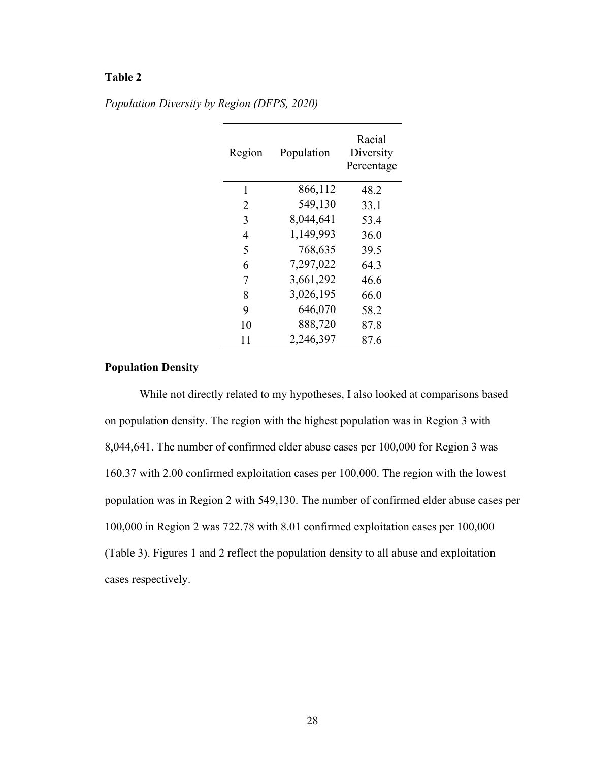| Region | Population | Racial<br>Diversity<br>Percentage |
|--------|------------|-----------------------------------|
| 1      | 866,112    | 48.2                              |
| 2      | 549,130    | 33.1                              |
| 3      | 8,044,641  | 53.4                              |
| 4      | 1,149,993  | 36.0                              |
| 5      | 768,635    | 39.5                              |
| 6      | 7,297,022  | 64.3                              |
| 7      | 3,661,292  | 46.6                              |
| 8      | 3,026,195  | 66.0                              |
| 9      | 646,070    | 58.2                              |
| 10     | 888,720    | 87.8                              |
| 11     | 2,246,397  | 87.6                              |

*Population Diversity by Region (DFPS, 2020)*

# **Population Density**

While not directly related to my hypotheses, I also looked at comparisons based on population density. The region with the highest population was in Region 3 with 8,044,641. The number of confirmed elder abuse cases per 100,000 for Region 3 was 160.37 with 2.00 confirmed exploitation cases per 100,000. The region with the lowest population was in Region 2 with 549,130. The number of confirmed elder abuse cases per 100,000 in Region 2 was 722.78 with 8.01 confirmed exploitation cases per 100,000 (Table 3). Figures 1 and 2 reflect the population density to all abuse and exploitation cases respectively.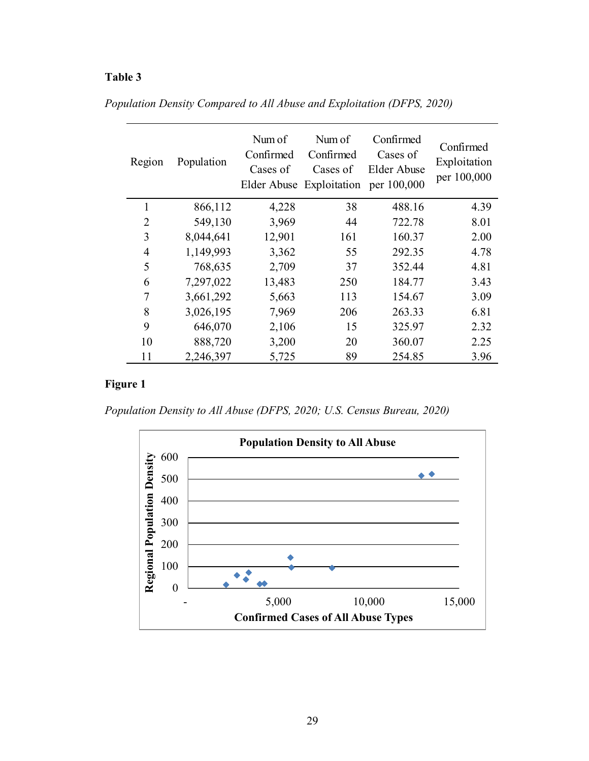| Region         | Population | Num of<br>Confirmed<br>Cases of | Num of<br>Confirmed<br>Cases of<br>Elder Abuse Exploitation per 100,000 | Confirmed<br>Cases of<br>Elder Abuse | Confirmed<br>Exploitation<br>per 100,000 |
|----------------|------------|---------------------------------|-------------------------------------------------------------------------|--------------------------------------|------------------------------------------|
| 1              | 866,112    | 4,228                           | 38                                                                      | 488.16                               | 4.39                                     |
| $\overline{2}$ | 549,130    | 3,969                           | 44                                                                      | 722.78                               | 8.01                                     |
| 3              | 8,044,641  | 12,901                          | 161                                                                     | 160.37                               | 2.00                                     |
| $\overline{4}$ | 1,149,993  | 3,362                           | 55                                                                      | 292.35                               | 4.78                                     |
| 5              | 768,635    | 2,709                           | 37                                                                      | 352.44                               | 4.81                                     |
| 6              | 7,297,022  | 13,483                          | 250                                                                     | 184.77                               | 3.43                                     |
| 7              | 3,661,292  | 5,663                           | 113                                                                     | 154.67                               | 3.09                                     |
| 8              | 3,026,195  | 7,969                           | 206                                                                     | 263.33                               | 6.81                                     |
| 9              | 646,070    | 2,106                           | 15                                                                      | 325.97                               | 2.32                                     |
| 10             | 888,720    | 3,200                           | 20                                                                      | 360.07                               | 2.25                                     |
| 11             | 2,246,397  | 5,725                           | 89                                                                      | 254.85                               | 3.96                                     |

*Population Density Compared to All Abuse and Exploitation (DFPS, 2020)*

# **Figure 1**

*Population Density to All Abuse (DFPS, 2020; U.S. Census Bureau, 2020)*

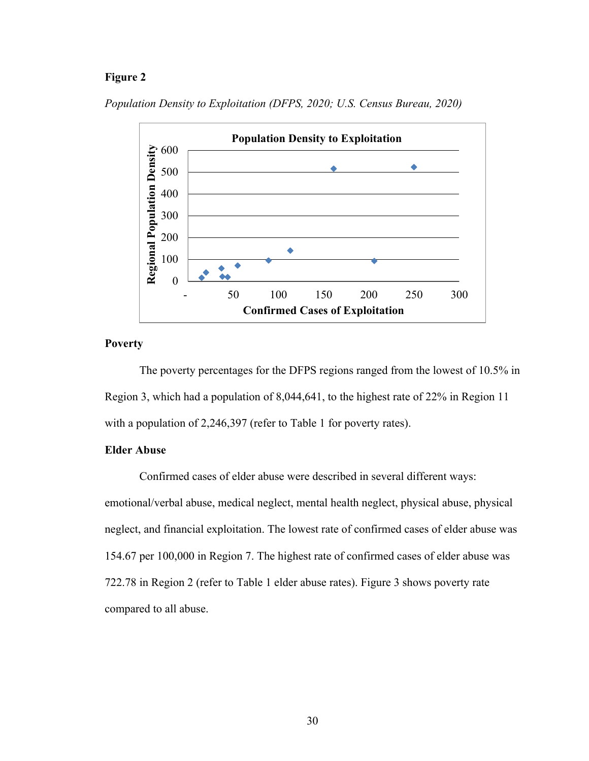# **Figure 2**



*Population Density to Exploitation (DFPS, 2020; U.S. Census Bureau, 2020)*

# **Poverty**

The poverty percentages for the DFPS regions ranged from the lowest of 10.5% in Region 3, which had a population of 8,044,641, to the highest rate of 22% in Region 11 with a population of 2,246,397 (refer to Table 1 for poverty rates).

# **Elder Abuse**

Confirmed cases of elder abuse were described in several different ways: emotional/verbal abuse, medical neglect, mental health neglect, physical abuse, physical neglect, and financial exploitation. The lowest rate of confirmed cases of elder abuse was 154.67 per 100,000 in Region 7. The highest rate of confirmed cases of elder abuse was 722.78 in Region 2 (refer to Table 1 elder abuse rates). Figure 3 shows poverty rate compared to all abuse.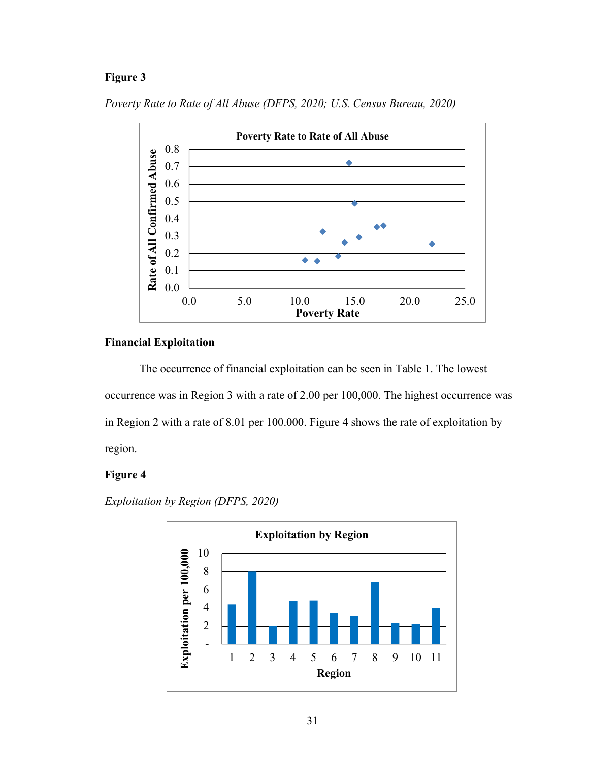# **Figure 3**



*Poverty Rate to Rate of All Abuse (DFPS, 2020; U.S. Census Bureau, 2020)*

# **Financial Exploitation**

The occurrence of financial exploitation can be seen in Table 1. The lowest occurrence was in Region 3 with a rate of 2.00 per 100,000. The highest occurrence was in Region 2 with a rate of 8.01 per 100.000. Figure 4 shows the rate of exploitation by region.

# **Figure 4**

*Exploitation by Region (DFPS, 2020)*

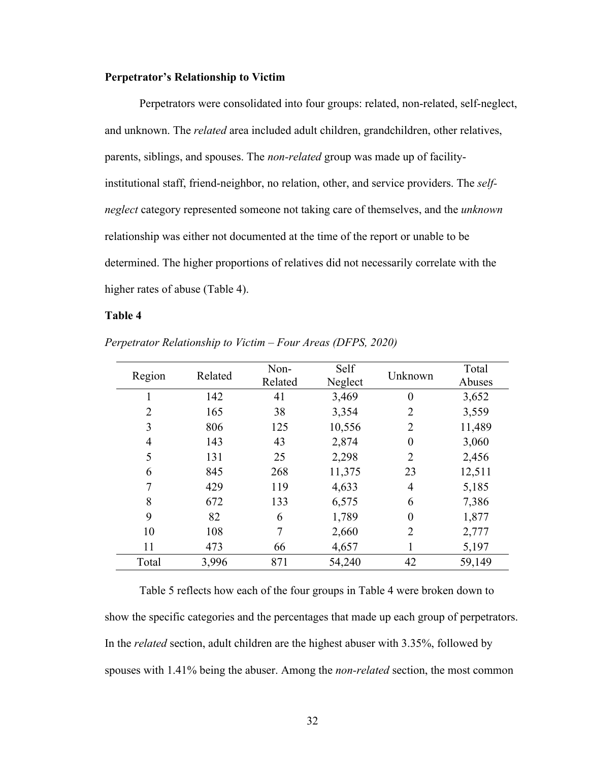#### **Perpetrator's Relationship to Victim**

Perpetrators were consolidated into four groups: related, non-related, self-neglect, and unknown. The *related* area included adult children, grandchildren, other relatives, parents, siblings, and spouses. The *non-related* group was made up of facilityinstitutional staff, friend-neighbor, no relation, other, and service providers. The *selfneglect* category represented someone not taking care of themselves, and the *unknown* relationship was either not documented at the time of the report or unable to be determined. The higher proportions of relatives did not necessarily correlate with the higher rates of abuse (Table 4).

### **Table 4**

| Region | Related | Non-<br>Related | Self<br>Neglect | Unknown          | Total<br>Abuses |
|--------|---------|-----------------|-----------------|------------------|-----------------|
|        | 142     | 41              | 3,469           | $\boldsymbol{0}$ | 3,652           |
| 2      | 165     | 38              | 3,354           | 2                | 3,559           |
| 3      | 806     | 125             | 10,556          | 2                | 11,489          |
| 4      | 143     | 43              | 2,874           | $\boldsymbol{0}$ | 3,060           |
| 5      | 131     | 25              | 2,298           | 2                | 2,456           |
| 6      | 845     | 268             | 11,375          | 23               | 12,511          |
| $\tau$ | 429     | 119             | 4,633           | $\overline{4}$   | 5,185           |
| 8      | 672     | 133             | 6,575           | 6                | 7,386           |
| 9      | 82      | 6               | 1,789           | $\overline{0}$   | 1,877           |
| 10     | 108     | 7               | 2,660           | $\overline{2}$   | 2,777           |
| 11     | 473     | 66              | 4,657           | 1                | 5,197           |
| Total  | 3,996   | 871             | 54,240          | 42               | 59,149          |

*Perpetrator Relationship to Victim – Four Areas (DFPS, 2020)*

Table 5 reflects how each of the four groups in Table 4 were broken down to show the specific categories and the percentages that made up each group of perpetrators. In the *related* section, adult children are the highest abuser with 3.35%, followed by spouses with 1.41% being the abuser. Among the *non-related* section, the most common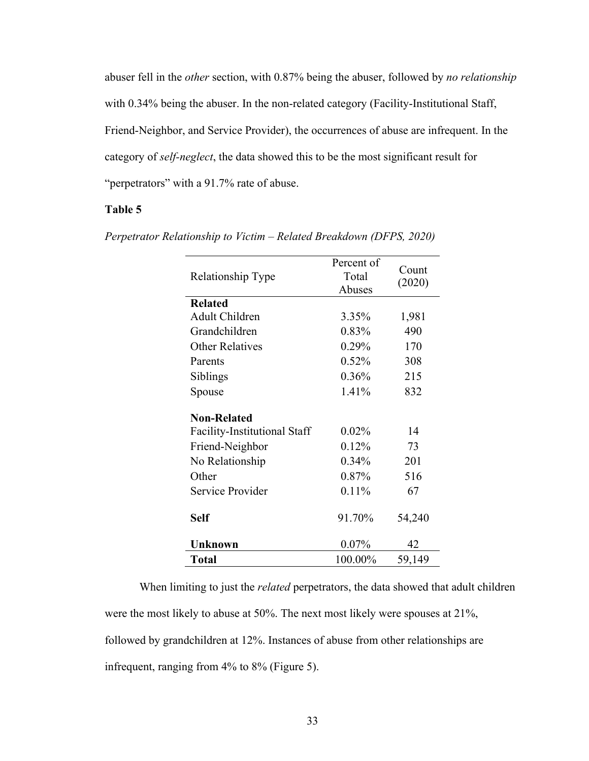abuser fell in the *other* section, with 0.87% being the abuser, followed by *no relationship* with 0.34% being the abuser. In the non-related category (Facility-Institutional Staff, Friend-Neighbor, and Service Provider), the occurrences of abuse are infrequent. In the category of *self-neglect*, the data showed this to be the most significant result for "perpetrators" with a 91.7% rate of abuse.

# **Table 5**

| Relationship Type            | Percent of<br>Total<br>Abuses | Count<br>(2020) |
|------------------------------|-------------------------------|-----------------|
| <b>Related</b>               |                               |                 |
| Adult Children               | $3.35\%$                      | 1,981           |
| Grandchildren                | 0.83%                         | 490             |
| <b>Other Relatives</b>       | 0.29%                         | 170             |
| Parents                      | 0.52%                         | 308             |
| Siblings                     | $0.36\%$                      | 215             |
| Spouse                       | 1.41%                         | 832             |
| <b>Non-Related</b>           |                               |                 |
| Facility-Institutional Staff | $0.02\%$                      | 14              |
| Friend-Neighbor              | 0.12%                         | 73              |
| No Relationship              | 0.34%                         | 201             |
| Other                        | 0.87%                         | 516             |
| Service Provider             | 0.11%                         | 67              |
| <b>Self</b>                  | 91.70%                        | 54,240          |
| Unknown                      | 0.07%                         | 42              |
| <b>Total</b>                 | 100.00%                       | 59,149          |

*Perpetrator Relationship to Victim – Related Breakdown (DFPS, 2020)*

When limiting to just the *related* perpetrators, the data showed that adult children were the most likely to abuse at 50%. The next most likely were spouses at 21%, followed by grandchildren at 12%. Instances of abuse from other relationships are infrequent, ranging from 4% to 8% (Figure 5).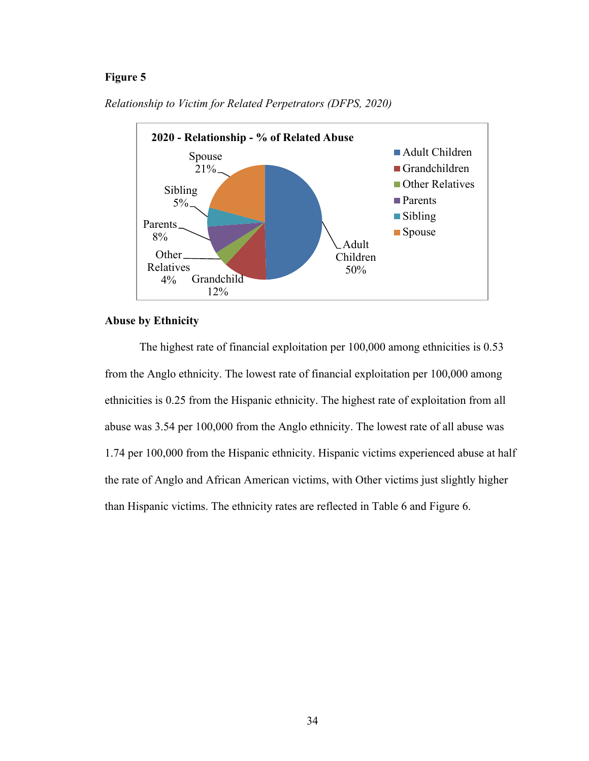### **Figure 5**



*Relationship to Victim for Related Perpetrators (DFPS, 2020)*

#### **Abuse by Ethnicity**

The highest rate of financial exploitation per 100,000 among ethnicities is 0.53 from the Anglo ethnicity. The lowest rate of financial exploitation per 100,000 among ethnicities is 0.25 from the Hispanic ethnicity. The highest rate of exploitation from all abuse was 3.54 per 100,000 from the Anglo ethnicity. The lowest rate of all abuse was 1.74 per 100,000 from the Hispanic ethnicity. Hispanic victims experienced abuse at half the rate of Anglo and African American victims, with Other victims just slightly higher than Hispanic victims. The ethnicity rates are reflected in Table 6 and Figure 6.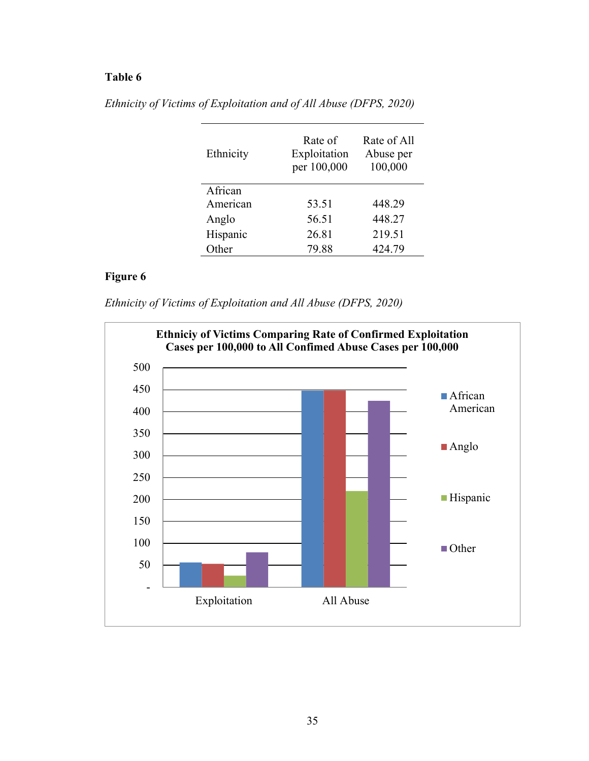| Ethnicity | Rate of<br>Exploitation<br>per 100,000 | Rate of All<br>Abuse per<br>100,000 |
|-----------|----------------------------------------|-------------------------------------|
| African   |                                        |                                     |
| American  | 53.51                                  | 448.29                              |
| Anglo     | 56.51                                  | 448.27                              |
| Hispanic  | 26.81                                  | 219.51                              |
| Other     | 79.88                                  | 424.79                              |

*Ethnicity of Victims of Exploitation and of All Abuse (DFPS, 2020)*

# **Figure 6**

*Ethnicity of Victims of Exploitation and All Abuse (DFPS, 2020)*

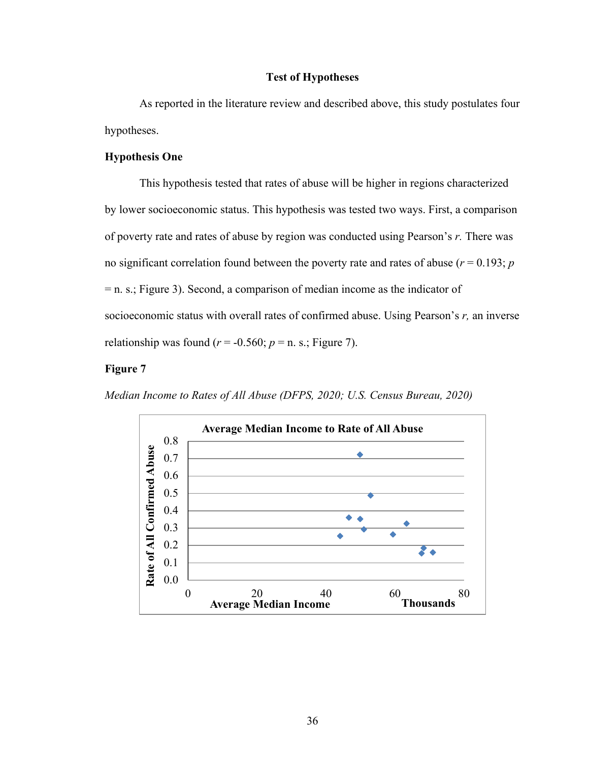#### **Test of Hypotheses**

As reported in the literature review and described above, this study postulates four hypotheses.

#### **Hypothesis One**

This hypothesis tested that rates of abuse will be higher in regions characterized by lower socioeconomic status. This hypothesis was tested two ways. First, a comparison of poverty rate and rates of abuse by region was conducted using Pearson's *r.* There was no significant correlation found between the poverty rate and rates of abuse ( $r = 0.193$ ;  $p$ ) = n. s.; Figure 3). Second, a comparison of median income as the indicator of socioeconomic status with overall rates of confirmed abuse. Using Pearson's *r,* an inverse relationship was found  $(r = -0.560; p = n. s.;$  Figure 7).

# **Figure 7**

*Median Income to Rates of All Abuse (DFPS, 2020; U.S. Census Bureau, 2020)*

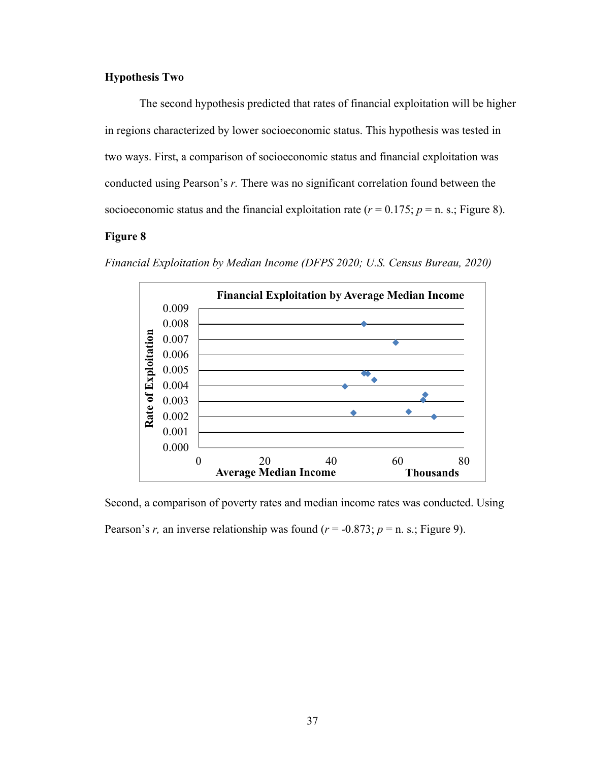### **Hypothesis Two**

The second hypothesis predicted that rates of financial exploitation will be higher in regions characterized by lower socioeconomic status. This hypothesis was tested in two ways. First, a comparison of socioeconomic status and financial exploitation was conducted using Pearson's *r.* There was no significant correlation found between the socioeconomic status and the financial exploitation rate  $(r = 0.175; p = n. s.$ ; Figure 8).

# **Figure 8**



*Financial Exploitation by Median Income (DFPS 2020; U.S. Census Bureau, 2020)*

Second, a comparison of poverty rates and median income rates was conducted. Using Pearson's *r*, an inverse relationship was found  $(r = -0.873; p = n. s.$ ; Figure 9).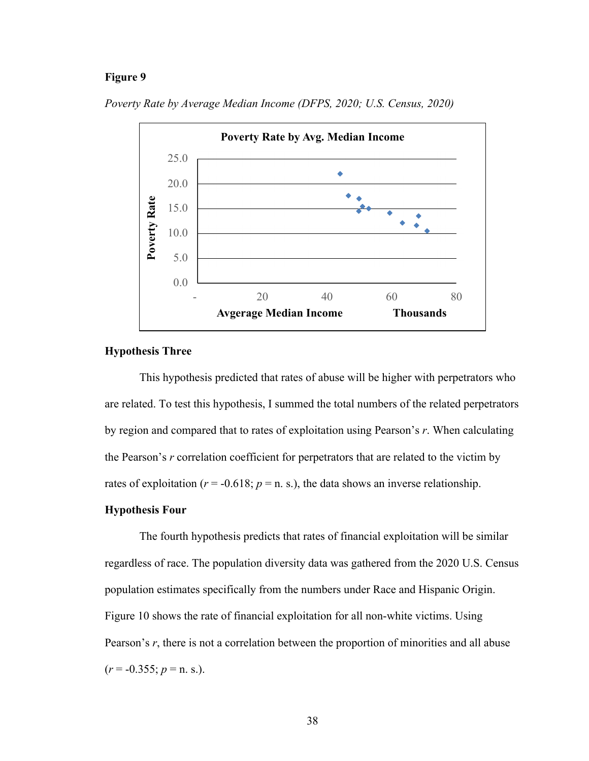#### **Figure 9**



*Poverty Rate by Average Median Income (DFPS, 2020; U.S. Census, 2020)*

# **Hypothesis Three**

This hypothesis predicted that rates of abuse will be higher with perpetrators who are related. To test this hypothesis, I summed the total numbers of the related perpetrators by region and compared that to rates of exploitation using Pearson's *r*. When calculating the Pearson's *r* correlation coefficient for perpetrators that are related to the victim by rates of exploitation ( $r = -0.618$ ;  $p = n$ . s.), the data shows an inverse relationship.

# **Hypothesis Four**

The fourth hypothesis predicts that rates of financial exploitation will be similar regardless of race. The population diversity data was gathered from the 2020 U.S. Census population estimates specifically from the numbers under Race and Hispanic Origin. Figure 10 shows the rate of financial exploitation for all non-white victims. Using Pearson's *r*, there is not a correlation between the proportion of minorities and all abuse  $(r = -0.355; p = n. s.).$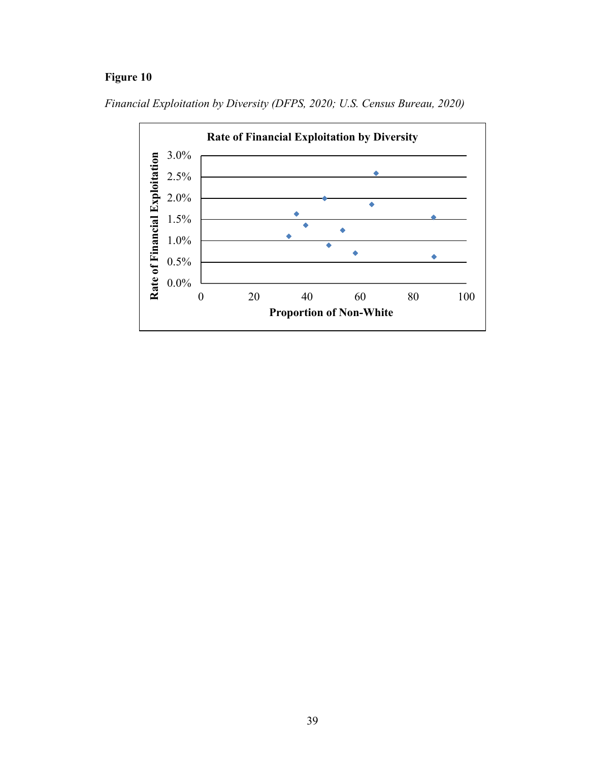# **Figure 10**



*Financial Exploitation by Diversity (DFPS, 2020; U.S. Census Bureau, 2020)*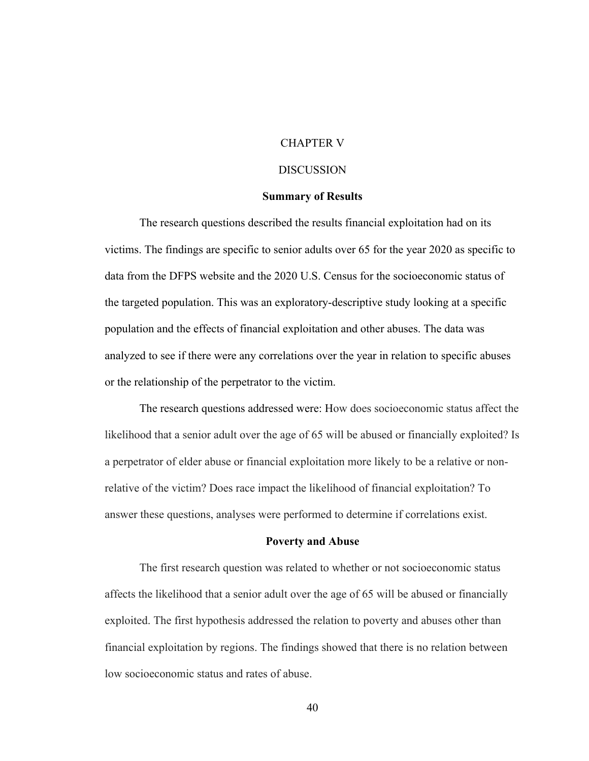# CHAPTER V

#### DISCUSSION

#### **Summary of Results**

The research questions described the results financial exploitation had on its victims. The findings are specific to senior adults over 65 for the year 2020 as specific to data from the DFPS website and the 2020 U.S. Census for the socioeconomic status of the targeted population. This was an exploratory-descriptive study looking at a specific population and the effects of financial exploitation and other abuses. The data was analyzed to see if there were any correlations over the year in relation to specific abuses or the relationship of the perpetrator to the victim.

The research questions addressed were: How does socioeconomic status affect the likelihood that a senior adult over the age of 65 will be abused or financially exploited? Is a perpetrator of elder abuse or financial exploitation more likely to be a relative or nonrelative of the victim? Does race impact the likelihood of financial exploitation? To answer these questions, analyses were performed to determine if correlations exist.

#### **Poverty and Abuse**

The first research question was related to whether or not socioeconomic status affects the likelihood that a senior adult over the age of 65 will be abused or financially exploited. The first hypothesis addressed the relation to poverty and abuses other than financial exploitation by regions. The findings showed that there is no relation between low socioeconomic status and rates of abuse.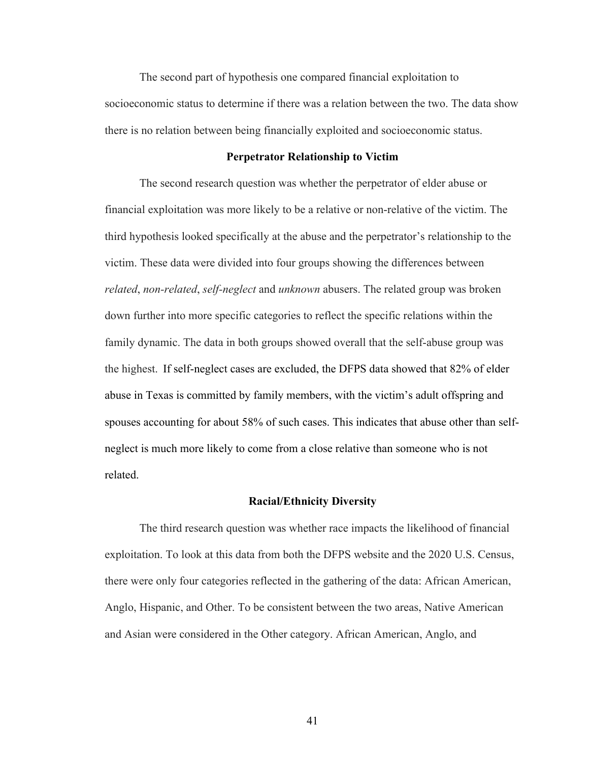The second part of hypothesis one compared financial exploitation to socioeconomic status to determine if there was a relation between the two. The data show there is no relation between being financially exploited and socioeconomic status.

#### **Perpetrator Relationship to Victim**

The second research question was whether the perpetrator of elder abuse or financial exploitation was more likely to be a relative or non-relative of the victim. The third hypothesis looked specifically at the abuse and the perpetrator's relationship to the victim. These data were divided into four groups showing the differences between *related*, *non-related*, *self-neglect* and *unknown* abusers. The related group was broken down further into more specific categories to reflect the specific relations within the family dynamic. The data in both groups showed overall that the self-abuse group was the highest. If self-neglect cases are excluded, the DFPS data showed that 82% of elder abuse in Texas is committed by family members, with the victim's adult offspring and spouses accounting for about 58% of such cases. This indicates that abuse other than selfneglect is much more likely to come from a close relative than someone who is not related.

#### **Racial/Ethnicity Diversity**

The third research question was whether race impacts the likelihood of financial exploitation. To look at this data from both the DFPS website and the 2020 U.S. Census, there were only four categories reflected in the gathering of the data: African American, Anglo, Hispanic, and Other. To be consistent between the two areas, Native American and Asian were considered in the Other category. African American, Anglo, and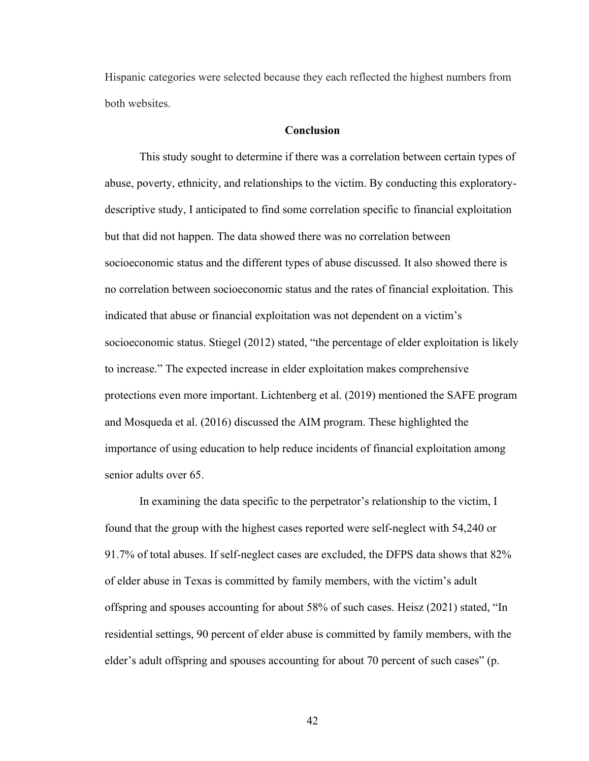Hispanic categories were selected because they each reflected the highest numbers from both websites.

#### **Conclusion**

This study sought to determine if there was a correlation between certain types of abuse, poverty, ethnicity, and relationships to the victim. By conducting this exploratorydescriptive study, I anticipated to find some correlation specific to financial exploitation but that did not happen. The data showed there was no correlation between socioeconomic status and the different types of abuse discussed. It also showed there is no correlation between socioeconomic status and the rates of financial exploitation. This indicated that abuse or financial exploitation was not dependent on a victim's socioeconomic status. Stiegel (2012) stated, "the percentage of elder exploitation is likely to increase." The expected increase in elder exploitation makes comprehensive protections even more important. Lichtenberg et al. (2019) mentioned the SAFE program and Mosqueda et al. (2016) discussed the AIM program. These highlighted the importance of using education to help reduce incidents of financial exploitation among senior adults over 65.

In examining the data specific to the perpetrator's relationship to the victim, I found that the group with the highest cases reported were self-neglect with 54,240 or 91.7% of total abuses. If self-neglect cases are excluded, the DFPS data shows that 82% of elder abuse in Texas is committed by family members, with the victim's adult offspring and spouses accounting for about 58% of such cases. Heisz (2021) stated, "In residential settings, 90 percent of elder abuse is committed by family members, with the elder's adult offspring and spouses accounting for about 70 percent of such cases" (p.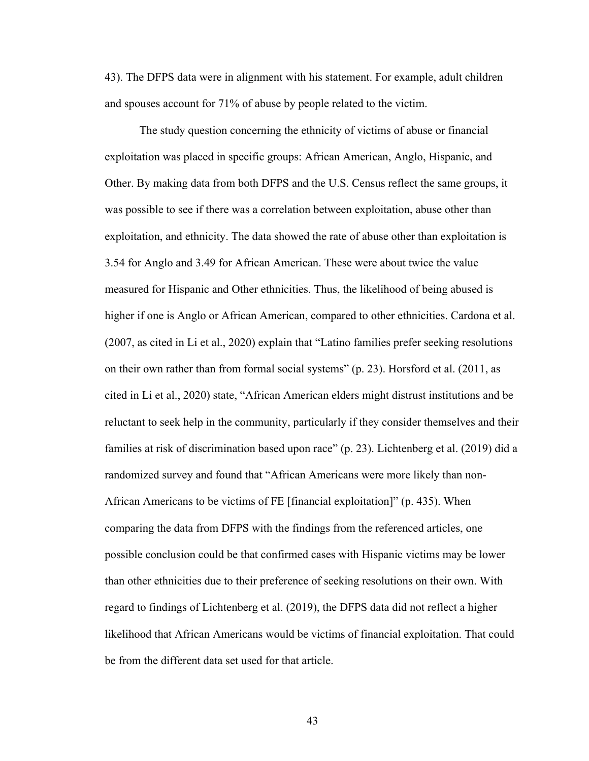43). The DFPS data were in alignment with his statement. For example, adult children and spouses account for 71% of abuse by people related to the victim.

The study question concerning the ethnicity of victims of abuse or financial exploitation was placed in specific groups: African American, Anglo, Hispanic, and Other. By making data from both DFPS and the U.S. Census reflect the same groups, it was possible to see if there was a correlation between exploitation, abuse other than exploitation, and ethnicity. The data showed the rate of abuse other than exploitation is 3.54 for Anglo and 3.49 for African American. These were about twice the value measured for Hispanic and Other ethnicities. Thus, the likelihood of being abused is higher if one is Anglo or African American, compared to other ethnicities. Cardona et al. (2007, as cited in Li et al., 2020) explain that "Latino families prefer seeking resolutions on their own rather than from formal social systems" (p. 23). Horsford et al. (2011, as cited in Li et al., 2020) state, "African American elders might distrust institutions and be reluctant to seek help in the community, particularly if they consider themselves and their families at risk of discrimination based upon race" (p. 23). Lichtenberg et al. (2019) did a randomized survey and found that "African Americans were more likely than non-African Americans to be victims of FE [financial exploitation]" (p. 435). When comparing the data from DFPS with the findings from the referenced articles, one possible conclusion could be that confirmed cases with Hispanic victims may be lower than other ethnicities due to their preference of seeking resolutions on their own. With regard to findings of Lichtenberg et al. (2019), the DFPS data did not reflect a higher likelihood that African Americans would be victims of financial exploitation. That could be from the different data set used for that article.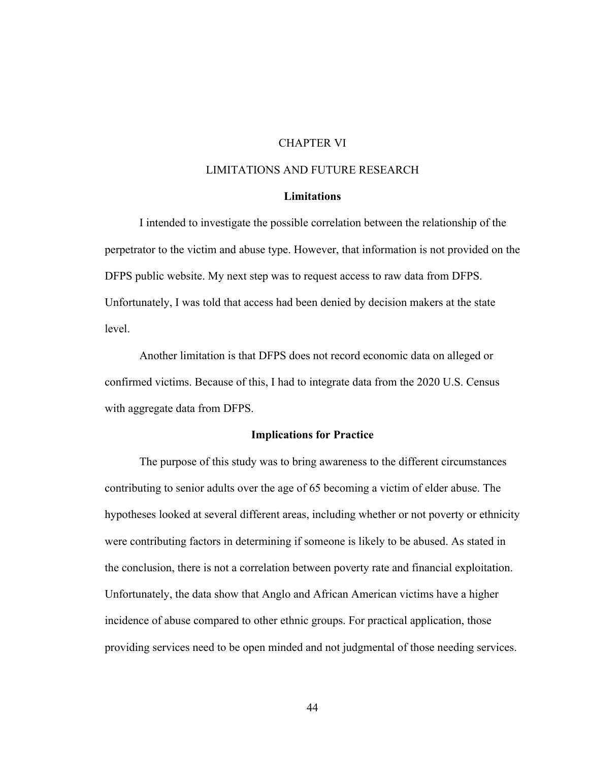# CHAPTER VI

# LIMITATIONS AND FUTURE RESEARCH

# **Limitations**

I intended to investigate the possible correlation between the relationship of the perpetrator to the victim and abuse type. However, that information is not provided on the DFPS public website. My next step was to request access to raw data from DFPS. Unfortunately, I was told that access had been denied by decision makers at the state level.

Another limitation is that DFPS does not record economic data on alleged or confirmed victims. Because of this, I had to integrate data from the 2020 U.S. Census with aggregate data from DFPS.

#### **Implications for Practice**

The purpose of this study was to bring awareness to the different circumstances contributing to senior adults over the age of 65 becoming a victim of elder abuse. The hypotheses looked at several different areas, including whether or not poverty or ethnicity were contributing factors in determining if someone is likely to be abused. As stated in the conclusion, there is not a correlation between poverty rate and financial exploitation. Unfortunately, the data show that Anglo and African American victims have a higher incidence of abuse compared to other ethnic groups. For practical application, those providing services need to be open minded and not judgmental of those needing services.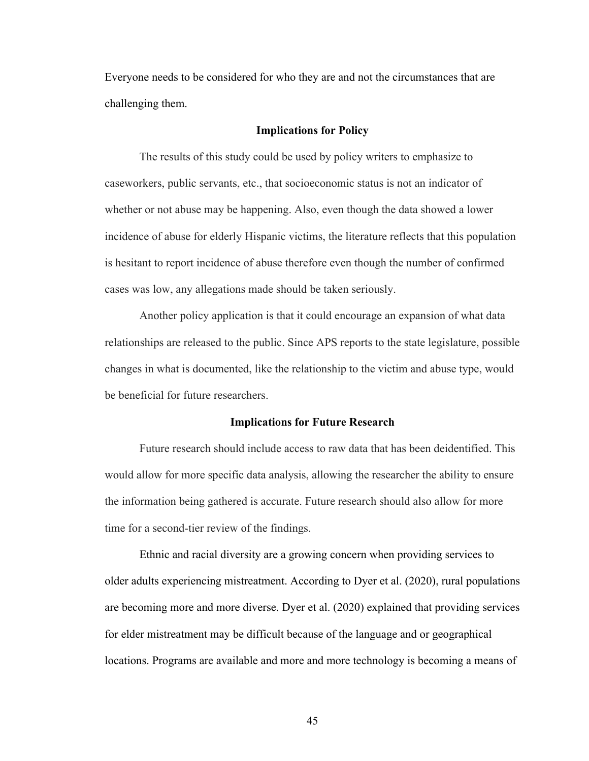Everyone needs to be considered for who they are and not the circumstances that are challenging them.

#### **Implications for Policy**

The results of this study could be used by policy writers to emphasize to caseworkers, public servants, etc., that socioeconomic status is not an indicator of whether or not abuse may be happening. Also, even though the data showed a lower incidence of abuse for elderly Hispanic victims, the literature reflects that this population is hesitant to report incidence of abuse therefore even though the number of confirmed cases was low, any allegations made should be taken seriously.

Another policy application is that it could encourage an expansion of what data relationships are released to the public. Since APS reports to the state legislature, possible changes in what is documented, like the relationship to the victim and abuse type, would be beneficial for future researchers.

#### **Implications for Future Research**

Future research should include access to raw data that has been deidentified. This would allow for more specific data analysis, allowing the researcher the ability to ensure the information being gathered is accurate. Future research should also allow for more time for a second-tier review of the findings.

Ethnic and racial diversity are a growing concern when providing services to older adults experiencing mistreatment. According to Dyer et al. (2020), rural populations are becoming more and more diverse. Dyer et al. (2020) explained that providing services for elder mistreatment may be difficult because of the language and or geographical locations. Programs are available and more and more technology is becoming a means of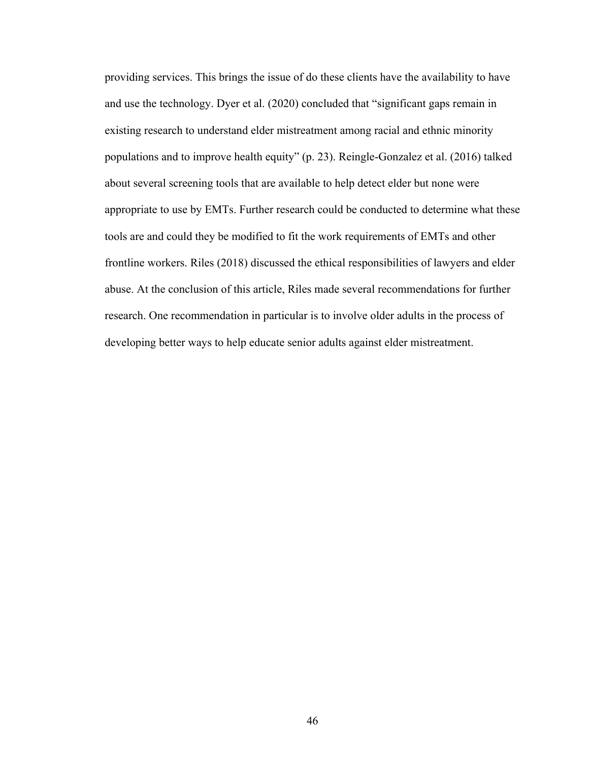providing services. This brings the issue of do these clients have the availability to have and use the technology. Dyer et al. (2020) concluded that "significant gaps remain in existing research to understand elder mistreatment among racial and ethnic minority populations and to improve health equity" (p. 23). Reingle-Gonzalez et al. (2016) talked about several screening tools that are available to help detect elder but none were appropriate to use by EMTs. Further research could be conducted to determine what these tools are and could they be modified to fit the work requirements of EMTs and other frontline workers. Riles (2018) discussed the ethical responsibilities of lawyers and elder abuse. At the conclusion of this article, Riles made several recommendations for further research. One recommendation in particular is to involve older adults in the process of developing better ways to help educate senior adults against elder mistreatment.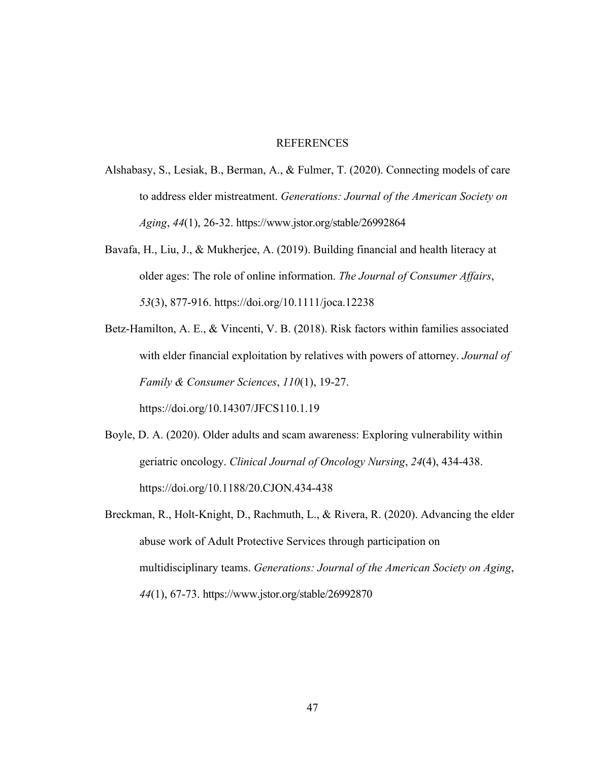# **REFERENCES**

- Alshabasy, S., Lesiak, B., Berman, A., & Fulmer, T. (2020). Connecting models of care to address elder mistreatment. *Generations: Journal of the American Society on Aging*, *44*(1), 26-32. https://www.jstor.org/stable/26992864
- Bavafa, H., Liu, J., & Mukherjee, A. (2019). Building financial and health literacy at older ages: The role of online information. *The Journal of Consumer Affairs*, *53*(3), 877-916. https://doi.org/10.1111/joca.12238
- Betz-Hamilton, A. E., & Vincenti, V. B. (2018). Risk factors within families associated with elder financial exploitation by relatives with powers of attorney. *Journal of Family & Consumer Sciences*, *110*(1), 19-27. https://doi.org/10.14307/JFCS110.1.19
- Boyle, D. A. (2020). Older adults and scam awareness: Exploring vulnerability within geriatric oncology. *Clinical Journal of Oncology Nursing*, *24*(4), 434-438. https://doi.org/10.1188/20.CJON.434-438
- Breckman, R., Holt-Knight, D., Rachmuth, L., & Rivera, R. (2020). Advancing the elder abuse work of Adult Protective Services through participation on multidisciplinary teams. *Generations: Journal of the American Society on Aging*, *44*(1), 67-73. https://www.jstor.org/stable/26992870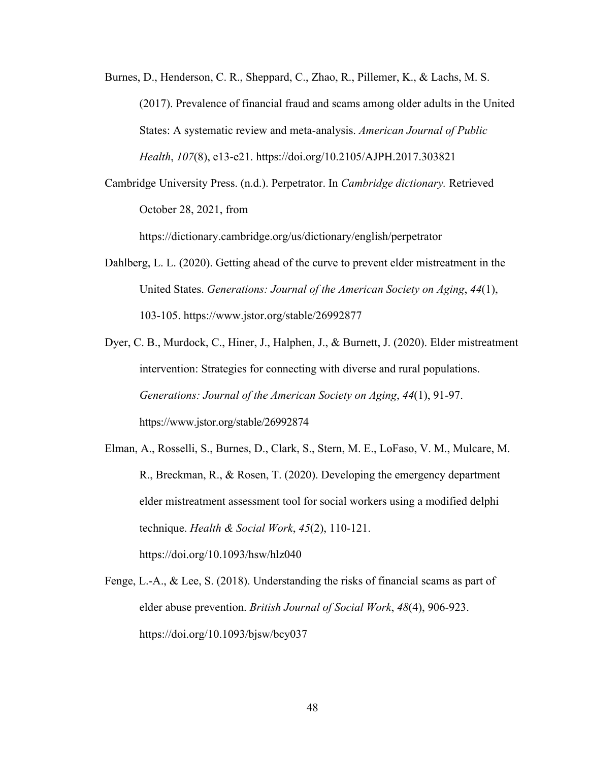- Burnes, D., Henderson, C. R., Sheppard, C., Zhao, R., Pillemer, K., & Lachs, M. S. (2017). Prevalence of financial fraud and scams among older adults in the United States: A systematic review and meta-analysis. *American Journal of Public Health*, *107*(8), e13-e21. https://doi.org/10.2105/AJPH.2017.303821
- Cambridge University Press. (n.d.). Perpetrator. In *Cambridge dictionary.* Retrieved October 28, 2021, from

https://dictionary.cambridge.org/us/dictionary/english/perpetrator

- Dahlberg, L. L. (2020). Getting ahead of the curve to prevent elder mistreatment in the United States. *Generations: Journal of the American Society on Aging*, *44*(1), 103-105. https://www.jstor.org/stable/26992877
- Dyer, C. B., Murdock, C., Hiner, J., Halphen, J., & Burnett, J. (2020). Elder mistreatment intervention: Strategies for connecting with diverse and rural populations. *Generations: Journal of the American Society on Aging*, *44*(1), 91-97. https://www.jstor.org/stable/26992874
- Elman, A., Rosselli, S., Burnes, D., Clark, S., Stern, M. E., LoFaso, V. M., Mulcare, M. R., Breckman, R., & Rosen, T. (2020). Developing the emergency department elder mistreatment assessment tool for social workers using a modified delphi technique. *Health & Social Work*, *45*(2), 110-121. https://doi.org/10.1093/hsw/hlz040
- Fenge, L.-A., & Lee, S. (2018). Understanding the risks of financial scams as part of elder abuse prevention. *British Journal of Social Work*, *48*(4), 906-923. https://doi.org/10.1093/bjsw/bcy037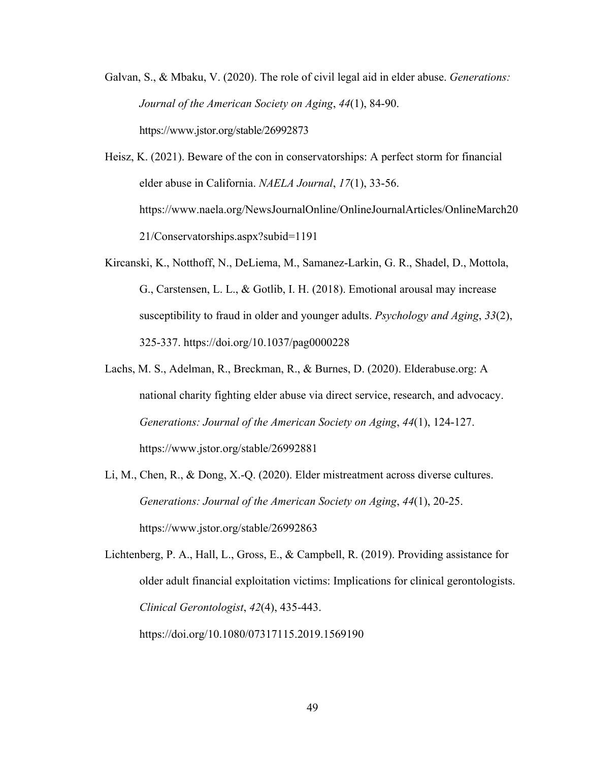- Galvan, S., & Mbaku, V. (2020). The role of civil legal aid in elder abuse. *Generations: Journal of the American Society on Aging*, *44*(1), 84-90. https://www.jstor.org/stable/26992873
- Heisz, K. (2021). Beware of the con in conservatorships: A perfect storm for financial elder abuse in California. *NAELA Journal*, *17*(1), 33-56. https://www.naela.org/NewsJournalOnline/OnlineJournalArticles/OnlineMarch20 21/Conservatorships.aspx?subid=1191
- Kircanski, K., Notthoff, N., DeLiema, M., Samanez-Larkin, G. R., Shadel, D., Mottola, G., Carstensen, L. L., & Gotlib, I. H. (2018). Emotional arousal may increase susceptibility to fraud in older and younger adults. *Psychology and Aging*, *33*(2), 325-337. https://doi.org/10.1037/pag0000228
- Lachs, M. S., Adelman, R., Breckman, R., & Burnes, D. (2020). Elderabuse.org: A national charity fighting elder abuse via direct service, research, and advocacy. *Generations: Journal of the American Society on Aging*, *44*(1), 124-127. https://www.jstor.org/stable/26992881
- Li, M., Chen, R., & Dong, X.-Q. (2020). Elder mistreatment across diverse cultures. *Generations: Journal of the American Society on Aging*, *44*(1), 20-25. https://www.jstor.org/stable/26992863

Lichtenberg, P. A., Hall, L., Gross, E., & Campbell, R. (2019). Providing assistance for older adult financial exploitation victims: Implications for clinical gerontologists. *Clinical Gerontologist*, *42*(4), 435-443. https://doi.org/10.1080/07317115.2019.1569190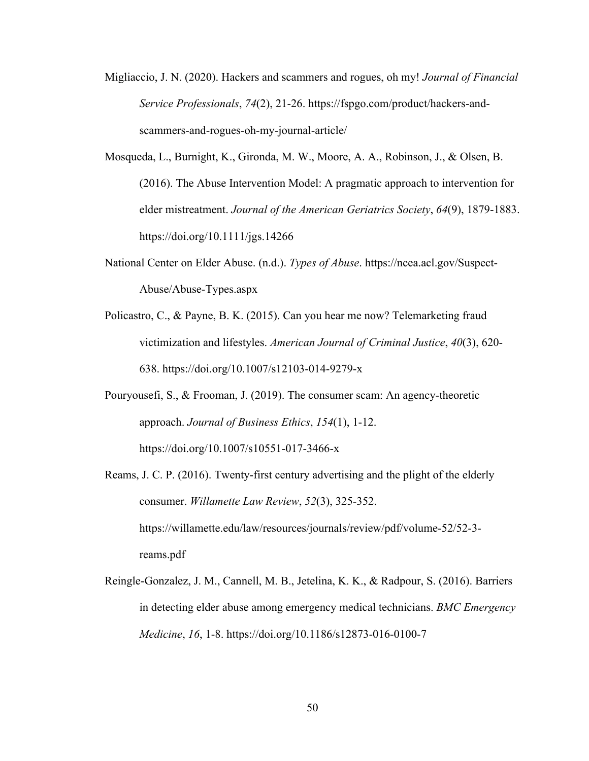- Migliaccio, J. N. (2020). Hackers and scammers and rogues, oh my! *Journal of Financial Service Professionals*, *74*(2), 21-26. https://fspgo.com/product/hackers-andscammers-and-rogues-oh-my-journal-article/
- Mosqueda, L., Burnight, K., Gironda, M. W., Moore, A. A., Robinson, J., & Olsen, B. (2016). The Abuse Intervention Model: A pragmatic approach to intervention for elder mistreatment. *Journal of the American Geriatrics Society*, *64*(9), 1879-1883. https://doi.org/10.1111/jgs.14266
- National Center on Elder Abuse. (n.d.). *Types of Abuse*. https://ncea.acl.gov/Suspect-Abuse/Abuse-Types.aspx
- Policastro, C., & Payne, B. K. (2015). Can you hear me now? Telemarketing fraud victimization and lifestyles. *American Journal of Criminal Justice*, *40*(3), 620- 638. https://doi.org/10.1007/s12103-014-9279-x
- Pouryousefi, S., & Frooman, J. (2019). The consumer scam: An agency-theoretic approach. *Journal of Business Ethics*, *154*(1), 1-12. https://doi.org/10.1007/s10551-017-3466-x
- Reams, J. C. P. (2016). Twenty-first century advertising and the plight of the elderly consumer. *Willamette Law Review*, *52*(3), 325-352. https://willamette.edu/law/resources/journals/review/pdf/volume-52/52-3 reams.pdf
- Reingle-Gonzalez, J. M., Cannell, M. B., Jetelina, K. K., & Radpour, S. (2016). Barriers in detecting elder abuse among emergency medical technicians. *BMC Emergency Medicine*, *16*, 1-8. https://doi.org/10.1186/s12873-016-0100-7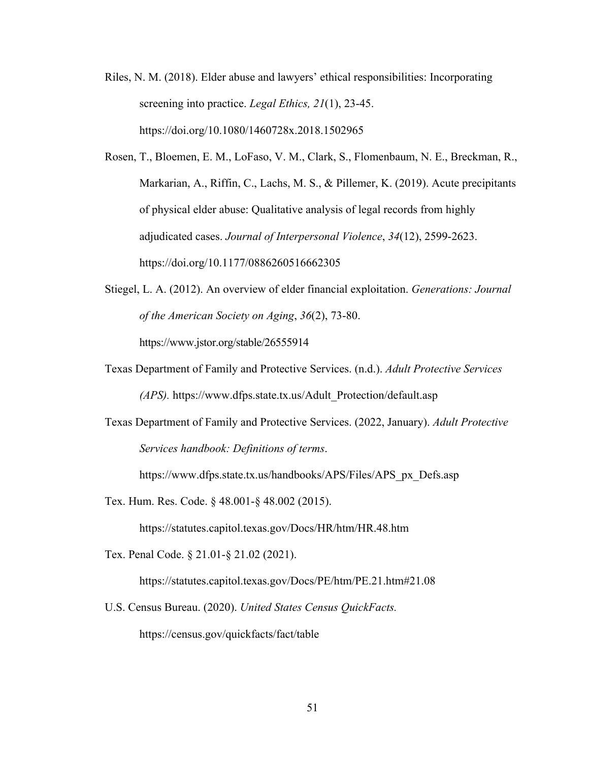Riles, N. M. (2018). Elder abuse and lawyers' ethical responsibilities: Incorporating screening into practice. *Legal Ethics, 21*(1), 23-45. https://doi.org/10.1080/1460728x.2018.1502965

Rosen, T., Bloemen, E. M., LoFaso, V. M., Clark, S., Flomenbaum, N. E., Breckman, R., Markarian, A., Riffin, C., Lachs, M. S., & Pillemer, K. (2019). Acute precipitants of physical elder abuse: Qualitative analysis of legal records from highly adjudicated cases. *Journal of Interpersonal Violence*, *34*(12), 2599-2623. https://doi.org/10.1177/0886260516662305

- Stiegel, L. A. (2012). An overview of elder financial exploitation. *Generations: Journal of the American Society on Aging*, *36*(2), 73-80. https://www.jstor.org/stable/26555914
- Texas Department of Family and Protective Services. (n.d.). *Adult Protective Services (APS).* https://www.dfps.state.tx.us/Adult\_Protection/default.asp
- Texas Department of Family and Protective Services. (2022, January). *Adult Protective Services handbook: Definitions of terms*.

https://www.dfps.state.tx.us/handbooks/APS/Files/APS\_px\_Defs.asp

Tex. Hum. Res. Code. § 48.001-§ 48.002 (2015).

https://statutes.capitol.texas.gov/Docs/HR/htm/HR.48.htm

Tex. Penal Code. § 21.01-§ 21.02 (2021).

https://statutes.capitol.texas.gov/Docs/PE/htm/PE.21.htm#21.08

U.S. Census Bureau. (2020). *United States Census QuickFacts.*

https://census.gov/quickfacts/fact/table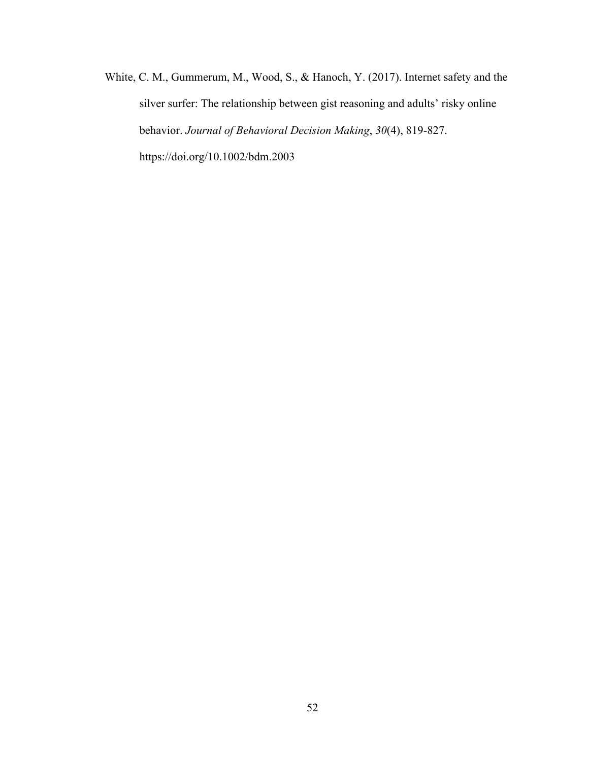White, C. M., Gummerum, M., Wood, S., & Hanoch, Y. (2017). Internet safety and the silver surfer: The relationship between gist reasoning and adults' risky online behavior. *Journal of Behavioral Decision Making*, *30*(4), 819-827. https://doi.org/10.1002/bdm.2003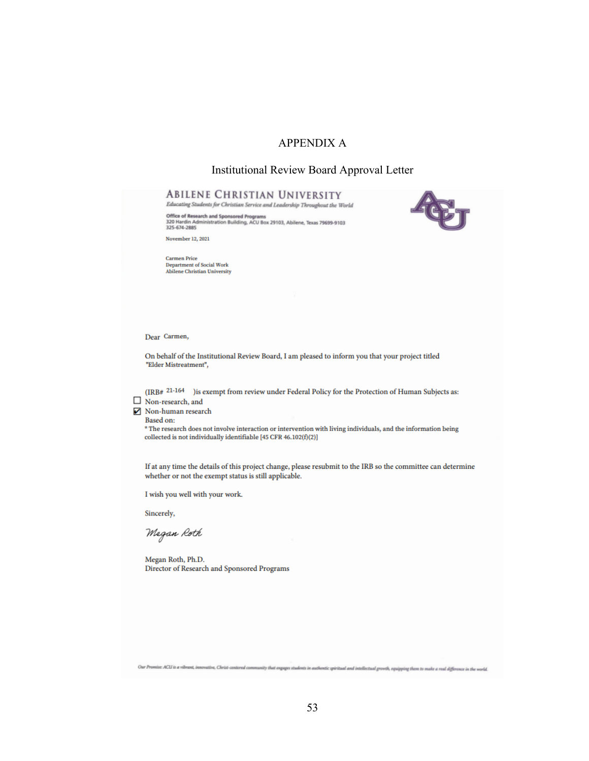# APPENDIX A

### Institutional Review Board Approval Letter

**RED** 

# **ABILENE CHRISTIAN UNIVERSITY**

Educating Students for Christian Service and Leadership Throughout the World

Office of Research and Sponsored Programs<br>320 Hardin Administration Building, ACU Box 29103, Abilene, Texas 79699-9103<br>325-674-2885

November 12, 2021

Carmen Price<br>Department of Social Work<br>Abilene Christian University

Dear Carmen,

On behalf of the Institutional Review Board, I am pleased to inform you that your project titled "Elder Mistreatment",

(IRB#  $21-164$  ) is exempt from review under Federal Policy for the Protection of Human Subjects as:

Non-research, and

Non-human research **Based on:** 

> \* The research does not involve interaction or intervention with living individuals, and the information being collected is not individually identifiable [45 CFR  $46.102(f)(2)$ ]

If at any time the details of this project change, please resubmit to the IRB so the committee can determine whether or not the exempt status is still applicable.

I wish you well with your work.

Sincerely,

Megan Roth

Megan Roth, Ph.D. Director of Research and Sponsored Programs

Our Promise ACU is a vibrant, innovative, Christ-centered community that engages students in authentic spiritual and intellectual growth, equipping them to make a real difference in the world.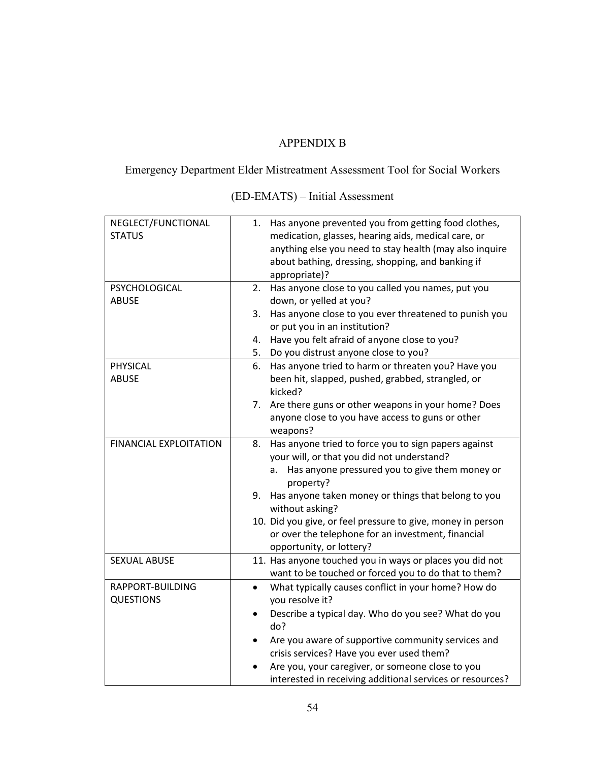# APPENDIX B

Emergency Department Elder Mistreatment Assessment Tool for Social Workers

| NEGLECT/FUNCTIONAL<br><b>STATUS</b> | Has anyone prevented you from getting food clothes,<br>1.<br>medication, glasses, hearing aids, medical care, or<br>anything else you need to stay health (may also inquire<br>about bathing, dressing, shopping, and banking if<br>appropriate)? |
|-------------------------------------|---------------------------------------------------------------------------------------------------------------------------------------------------------------------------------------------------------------------------------------------------|
| PSYCHOLOGICAL                       | Has anyone close to you called you names, put you<br>2.                                                                                                                                                                                           |
| <b>ABUSE</b>                        | down, or yelled at you?                                                                                                                                                                                                                           |
|                                     | Has anyone close to you ever threatened to punish you<br>3.<br>or put you in an institution?                                                                                                                                                      |
|                                     | Have you felt afraid of anyone close to you?<br>4.                                                                                                                                                                                                |
|                                     | Do you distrust anyone close to you?<br>5.                                                                                                                                                                                                        |
| PHYSICAL                            | Has anyone tried to harm or threaten you? Have you<br>6.                                                                                                                                                                                          |
| <b>ABUSE</b>                        | been hit, slapped, pushed, grabbed, strangled, or                                                                                                                                                                                                 |
|                                     | kicked?                                                                                                                                                                                                                                           |
|                                     | Are there guns or other weapons in your home? Does<br>7.                                                                                                                                                                                          |
|                                     | anyone close to you have access to guns or other                                                                                                                                                                                                  |
|                                     | weapons?                                                                                                                                                                                                                                          |
| <b>FINANCIAL EXPLOITATION</b>       | Has anyone tried to force you to sign papers against<br>8.                                                                                                                                                                                        |
|                                     | your will, or that you did not understand?                                                                                                                                                                                                        |
|                                     | Has anyone pressured you to give them money or<br>a.<br>property?                                                                                                                                                                                 |
|                                     | Has anyone taken money or things that belong to you<br>9.<br>without asking?                                                                                                                                                                      |
|                                     | 10. Did you give, or feel pressure to give, money in person                                                                                                                                                                                       |
|                                     | or over the telephone for an investment, financial                                                                                                                                                                                                |
|                                     | opportunity, or lottery?                                                                                                                                                                                                                          |
| <b>SEXUAL ABUSE</b>                 | 11. Has anyone touched you in ways or places you did not                                                                                                                                                                                          |
|                                     | want to be touched or forced you to do that to them?                                                                                                                                                                                              |
| RAPPORT-BUILDING                    | What typically causes conflict in your home? How do<br>$\bullet$                                                                                                                                                                                  |
| <b>QUESTIONS</b>                    | you resolve it?                                                                                                                                                                                                                                   |
|                                     | Describe a typical day. Who do you see? What do you<br>do?                                                                                                                                                                                        |
|                                     | Are you aware of supportive community services and                                                                                                                                                                                                |
|                                     | crisis services? Have you ever used them?                                                                                                                                                                                                         |
|                                     | Are you, your caregiver, or someone close to you                                                                                                                                                                                                  |
|                                     | interested in receiving additional services or resources?                                                                                                                                                                                         |

(ED-EMATS) – Initial Assessment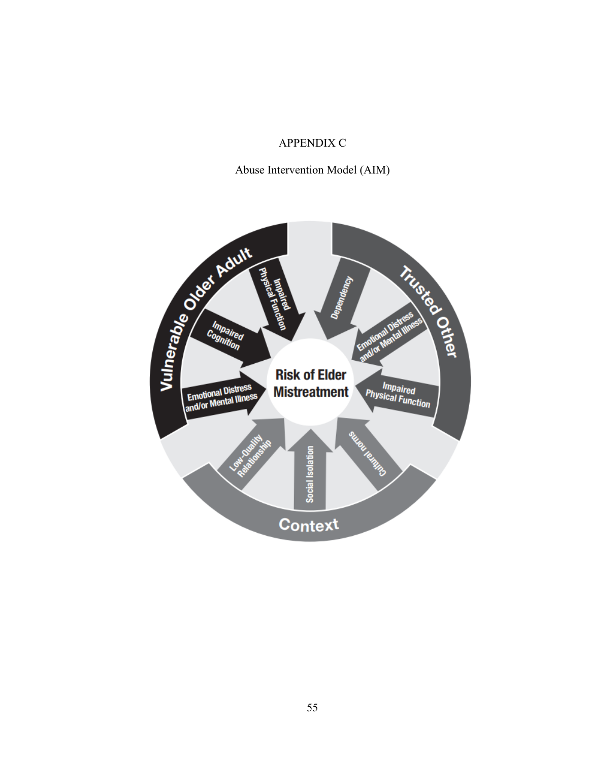# APPENDIX C

Abuse Intervention Model (AIM)